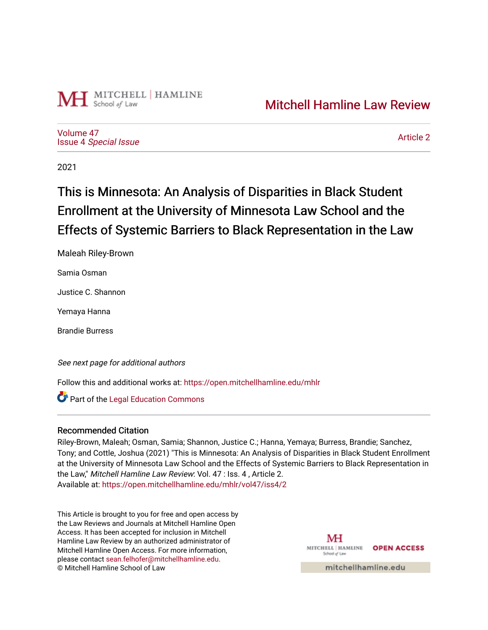

[Volume 47](https://open.mitchellhamline.edu/mhlr/vol47) Issue 4 [Special Issue](https://open.mitchellhamline.edu/mhlr/vol47/iss4)

[Article 2](https://open.mitchellhamline.edu/mhlr/vol47/iss4/2) 

2021

# This is Minnesota: An Analysis of Disparities in Black Student Enrollment at the University of Minnesota Law School and the Effects of Systemic Barriers to Black Representation in the Law

Maleah Riley-Brown

Samia Osman

Justice C. Shannon

Yemaya Hanna

Brandie Burress

See next page for additional authors

Follow this and additional works at: [https://open.mitchellhamline.edu/mhlr](https://open.mitchellhamline.edu/mhlr?utm_source=open.mitchellhamline.edu%2Fmhlr%2Fvol47%2Fiss4%2F2&utm_medium=PDF&utm_campaign=PDFCoverPages) 

**Part of the Legal Education Commons** 

## Recommended Citation

Riley-Brown, Maleah; Osman, Samia; Shannon, Justice C.; Hanna, Yemaya; Burress, Brandie; Sanchez, Tony; and Cottle, Joshua (2021) "This is Minnesota: An Analysis of Disparities in Black Student Enrollment at the University of Minnesota Law School and the Effects of Systemic Barriers to Black Representation in the Law," Mitchell Hamline Law Review: Vol. 47 : Iss. 4 , Article 2. Available at: [https://open.mitchellhamline.edu/mhlr/vol47/iss4/2](https://open.mitchellhamline.edu/mhlr/vol47/iss4/2?utm_source=open.mitchellhamline.edu%2Fmhlr%2Fvol47%2Fiss4%2F2&utm_medium=PDF&utm_campaign=PDFCoverPages) 

This Article is brought to you for free and open access by the Law Reviews and Journals at Mitchell Hamline Open Access. It has been accepted for inclusion in Mitchell Hamline Law Review by an authorized administrator of Mitchell Hamline Open Access. For more information, please contact [sean.felhofer@mitchellhamline.edu.](mailto:sean.felhofer@mitchellhamline.edu) © Mitchell Hamline School of Law

MH MITCHELL | HAMLINE **OPEN ACCESS** School of La

mitchellhamline.edu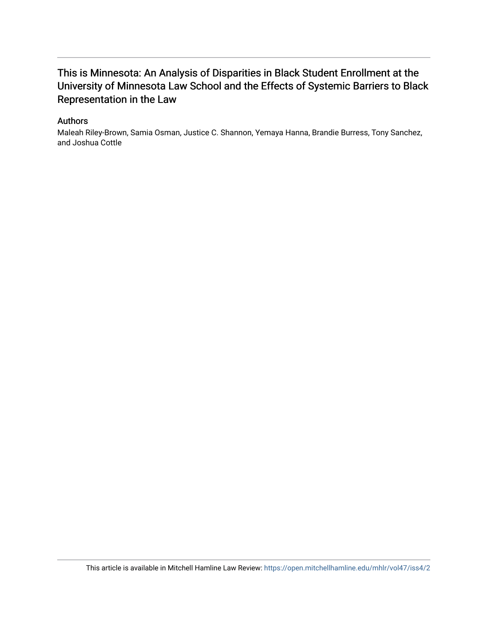## This is Minnesota: An Analysis of Disparities in Black Student Enrollment at the University of Minnesota Law School and the Effects of Systemic Barriers to Black Representation in the Law

## Authors

Maleah Riley-Brown, Samia Osman, Justice C. Shannon, Yemaya Hanna, Brandie Burress, Tony Sanchez, and Joshua Cottle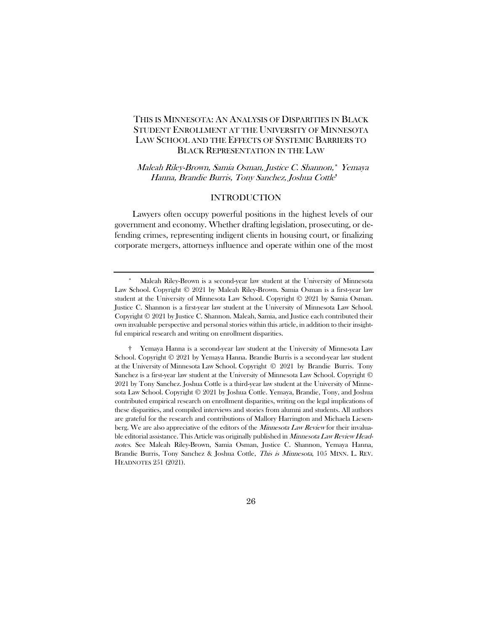## THIS IS MINNESOTA: AN ANALYSIS OF DISPARITIES IN BLACK STUDENT ENROLLMENT AT THE UNIVERSITY OF MINNESOTA LAW SCHOOL AND THE EFFECTS OF SYSTEMIC BARRIERS TO BLACK REPRESENTATION IN THE LAW

Maleah Riley-Brown, Samia Osman, Justice C. Shannon,[\\*](#page-2-0) Yemaya Hanna, Brandie Burris, Tony Sanchez, Joshua Cottle[†](#page-2-1)

#### INTRODUCTION

Lawyers often occupy powerful positions in the highest levels of our government and economy. Whether drafting legislation, prosecuting, or defending crimes, representing indigent clients in housing court, or finalizing corporate mergers, attorneys influence and operate within one of the most

<span id="page-2-0"></span>Maleah Riley-Brown is a second-year law student at the University of Minnesota Law School. Copyright © 2021 by Maleah Riley-Brown. Samia Osman is a first-year law student at the University of Minnesota Law School. Copyright © 2021 by Samia Osman. Justice C. Shannon is a first-year law student at the University of Minnesota Law School. Copyright © 2021 by Justice C. Shannon. Maleah, Samia, and Justice each contributed their own invaluable perspective and personal stories within this article, in addition to their insightful empirical research and writing on enrollment disparities.

<span id="page-2-1"></span><sup>†</sup> Yemaya Hanna is a second-year law student at the University of Minnesota Law School. Copyright © 2021 by Yemaya Hanna. Brandie Burris is a second-year law student at the University of Minnesota Law School. Copyright © 2021 by Brandie Burris. Tony Sanchez is a first-year law student at the University of Minnesota Law School. Copyright © 2021 by Tony Sanchez. Joshua Cottle is a third-year law student at the University of Minnesota Law School. Copyright © 2021 by Joshua Cottle. Yemaya, Brandie, Tony, and Joshua contributed empirical research on enrollment disparities, writing on the legal implications of these disparities, and compiled interviews and stories from alumni and students. All authors are grateful for the research and contributions of Mallory Harrington and Michaela Liesenberg. We are also appreciative of the editors of the *Minnesota Law Review* for their invaluable editorial assistance. This Article was originally published in *Minnesota Law Review Head*notes. See Maleah Riley-Brown, Samia Osman, Justice C. Shannon, Yemaya Hanna, Brandie Burris, Tony Sanchez & Joshua Cottle, *This is Minnesota*, 105 MINN. L. REV. HEADNOTES 251 (2021).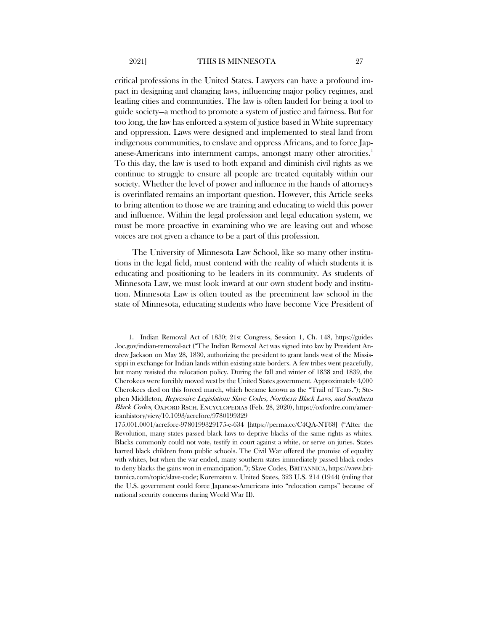critical professions in the United States. Lawyers can have a profound impact in designing and changing laws, influencing major policy regimes, and leading cities and communities. The law is often lauded for being a tool to guide society—a method to promote a system of justice and fairness. But for too long, the law has enforced a system of justice based in White supremacy and oppression. Laws were designed and implemented to steal land from indigenous communities, to enslave and oppress Africans, and to force Jap-anese-Americans into internment camps, amongst many other atrocities.<sup>[1](#page-3-0)</sup> To this day, the law is used to both expand and diminish civil rights as we continue to struggle to ensure all people are treated equitably within our society. Whether the level of power and influence in the hands of attorneys is overinflated remains an important question. However, this Article seeks to bring attention to those we are training and educating to wield this power and influence. Within the legal profession and legal education system, we must be more proactive in examining who we are leaving out and whose voices are not given a chance to be a part of this profession.

The University of Minnesota Law School, like so many other institutions in the legal field, must contend with the reality of which students it is educating and positioning to be leaders in its community. As students of Minnesota Law, we must look inward at our own student body and institution. Minnesota Law is often touted as the preeminent law school in the state of Minnesota, educating students who have become Vice President of

<span id="page-3-0"></span><sup>1.</sup> Indian Removal Act of 1830; 21st Congress, Session 1, Ch. 148, https://guides .loc.gov/indian-removal-act ("The Indian Removal Act was signed into law by President Andrew Jackson on May 28, 1830, authorizing the president to grant lands west of the Mississippi in exchange for Indian lands within existing state borders. A few tribes went peacefully, but many resisted the relocation policy. During the fall and winter of 1838 and 1839, the Cherokees were forcibly moved west by the United States government. Approximately 4,000 Cherokees died on this forced march, which became known as the "Trail of Tears."); Stephen Middleton, Repressive Legislation: Slave Codes, Northern Black Laws, and Southern Black Codes, OXFORD RSCH. ENCYCLOPEDIAS (Feb. 28, 2020), https://oxfordre.com/americanhistory/view/10.1093/acrefore/9780199329

<sup>175.001.0001/</sup>acrefore-9780199329175-e-634 [https://perma.cc/C4QA-NT68] ("After the Revolution, many states passed black laws to deprive blacks of the same rights as whites. Blacks commonly could not vote, testify in court against a white, or serve on juries. States barred black children from public schools. The Civil War offered the promise of equality with whites, but when the war ended, many southern states immediately passed black codes to deny blacks the gains won in emancipation."); Slave Codes, BRITANNICA, https://www.britannica.com/topic/slave-code; Korematsu v. United States, 323 U.S. 214 (1944) (ruling that the U.S. government could force Japanese-Americans into "relocation camps" because of national security concerns during World War II).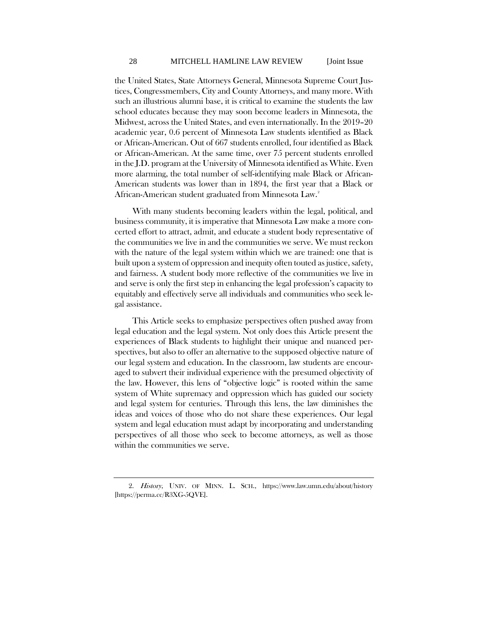the United States, State Attorneys General, Minnesota Supreme Court Justices, Congressmembers, City and County Attorneys, and many more. With such an illustrious alumni base, it is critical to examine the students the law school educates because they may soon become leaders in Minnesota, the Midwest, across the United States, and even internationally. In the 2019–20 academic year, 0.6 percent of Minnesota Law students identified as Black or African-American. Out of 667 students enrolled, four identified as Black or African-American. At the same time, over 75 percent students enrolled in the J.D. program at the University of Minnesota identified as White. Even more alarming, the total number of self-identifying male Black or African-American students was lower than in 1894, the first year that a Black or African-American student graduated from Minnesota Law.<sup>[2](#page-4-0)</sup>

With many students becoming leaders within the legal, political, and business community, it is imperative that Minnesota Law make a more concerted effort to attract, admit, and educate a student body representative of the communities we live in and the communities we serve. We must reckon with the nature of the legal system within which we are trained: one that is built upon a system of oppression and inequity often touted as justice, safety, and fairness. A student body more reflective of the communities we live in and serve is only the first step in enhancing the legal profession's capacity to equitably and effectively serve all individuals and communities who seek legal assistance.

This Article seeks to emphasize perspectives often pushed away from legal education and the legal system. Not only does this Article present the experiences of Black students to highlight their unique and nuanced perspectives, but also to offer an alternative to the supposed objective nature of our legal system and education. In the classroom, law students are encouraged to subvert their individual experience with the presumed objectivity of the law. However, this lens of "objective logic" is rooted within the same system of White supremacy and oppression which has guided our society and legal system for centuries. Through this lens, the law diminishes the ideas and voices of those who do not share these experiences. Our legal system and legal education must adapt by incorporating and understanding perspectives of all those who seek to become attorneys, as well as those within the communities we serve.

<span id="page-4-0"></span><sup>2.</sup> History, UNIV. OF MINN. L. SCH., https://www.law.umn.edu/about/history [https://perma.cc/R3XG-5QVE].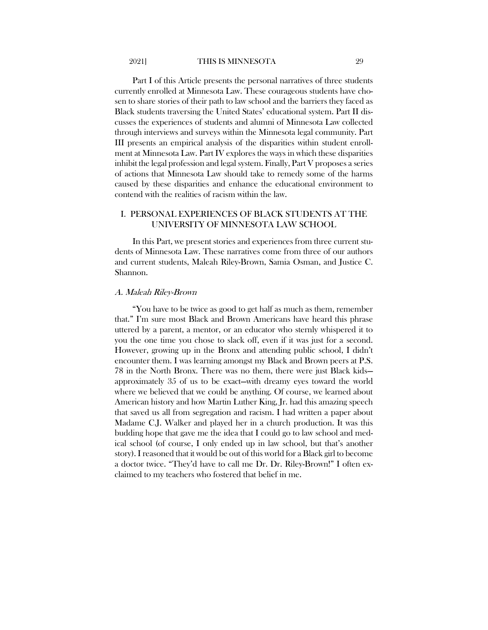Part I of this Article presents the personal narratives of three students currently enrolled at Minnesota Law. These courageous students have chosen to share stories of their path to law school and the barriers they faced as Black students traversing the United States' educational system. Part II discusses the experiences of students and alumni of Minnesota Law collected through interviews and surveys within the Minnesota legal community. Part III presents an empirical analysis of the disparities within student enrollment at Minnesota Law. Part IV explores the ways in which these disparities inhibit the legal profession and legal system. Finally, Part V proposes a series of actions that Minnesota Law should take to remedy some of the harms caused by these disparities and enhance the educational environment to contend with the realities of racism within the law.

#### I. PERSONAL EXPERIENCES OF BLACK STUDENTS AT THE UNIVERSITY OF MINNESOTA LAW SCHOOL

In this Part, we present stories and experiences from three current students of Minnesota Law. These narratives come from three of our authors and current students, Maleah Riley-Brown, Samia Osman, and Justice C. Shannon.

#### A. Maleah Riley-Brown

"You have to be twice as good to get half as much as them, remember that." I'm sure most Black and Brown Americans have heard this phrase uttered by a parent, a mentor, or an educator who sternly whispered it to you the one time you chose to slack off, even if it was just for a second. However, growing up in the Bronx and attending public school, I didn't encounter them. I was learning amongst my Black and Brown peers at P.S. 78 in the North Bronx. There was no them, there were just Black kids approximately 35 of us to be exact—with dreamy eyes toward the world where we believed that we could be anything. Of course, we learned about American history and how Martin Luther King, Jr. had this amazing speech that saved us all from segregation and racism. I had written a paper about Madame C.J. Walker and played her in a church production. It was this budding hope that gave me the idea that I could go to law school and medical school (of course, I only ended up in law school, but that's another story). I reasoned that it would be out of this world for a Black girl to become a doctor twice. "They'd have to call me Dr. Dr. Riley-Brown!" I often exclaimed to my teachers who fostered that belief in me.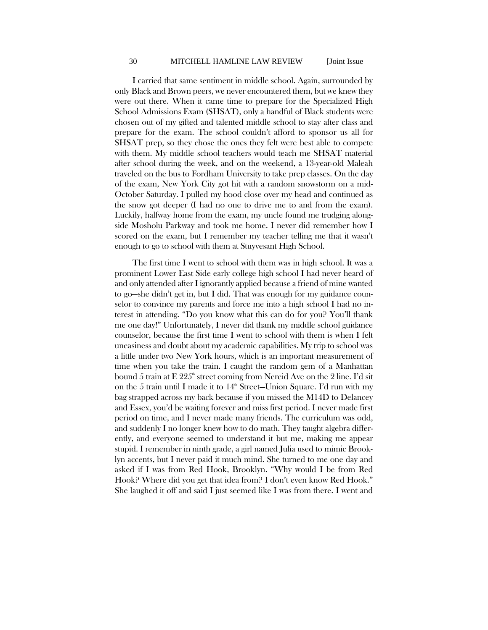I carried that same sentiment in middle school. Again, surrounded by only Black and Brown peers, we never encountered them, but we knew they were out there. When it came time to prepare for the Specialized High School Admissions Exam (SHSAT), only a handful of Black students were chosen out of my gifted and talented middle school to stay after class and prepare for the exam. The school couldn't afford to sponsor us all for SHSAT prep, so they chose the ones they felt were best able to compete with them. My middle school teachers would teach me SHSAT material after school during the week, and on the weekend, a 13-year-old Maleah traveled on the bus to Fordham University to take prep classes. On the day of the exam, New York City got hit with a random snowstorm on a mid-October Saturday. I pulled my hood close over my head and continued as the snow got deeper (I had no one to drive me to and from the exam). Luckily, halfway home from the exam, my uncle found me trudging alongside Mosholu Parkway and took me home. I never did remember how I scored on the exam, but I remember my teacher telling me that it wasn't enough to go to school with them at Stuyvesant High School.

The first time I went to school with them was in high school. It was a prominent Lower East Side early college high school I had never heard of and only attended after I ignorantly applied because a friend of mine wanted to go—she didn't get in, but I did. That was enough for my guidance counselor to convince my parents and force me into a high school I had no interest in attending. "Do you know what this can do for you? You'll thank me one day!" Unfortunately, I never did thank my middle school guidance counselor, because the first time I went to school with them is when I felt uneasiness and doubt about my academic capabilities. My trip to school was a little under two New York hours, which is an important measurement of time when you take the train. I caught the random gem of a Manhattan bound 5 train at E  $225^{\circ}$  street coming from Nereid Ave on the 2 line. I'd sit on the 5 train until I made it to  $14^{\circ}$  Street-Union Square. I'd run with my bag strapped across my back because if you missed the M14D to Delancey and Essex, you'd be waiting forever and miss first period. I never made first period on time, and I never made many friends. The curriculum was odd, and suddenly I no longer knew how to do math. They taught algebra differently, and everyone seemed to understand it but me, making me appear stupid. I remember in ninth grade, a girl named Julia used to mimic Brooklyn accents, but I never paid it much mind. She turned to me one day and asked if I was from Red Hook, Brooklyn. "Why would I be from Red Hook? Where did you get that idea from? I don't even know Red Hook." She laughed it off and said I just seemed like I was from there. I went and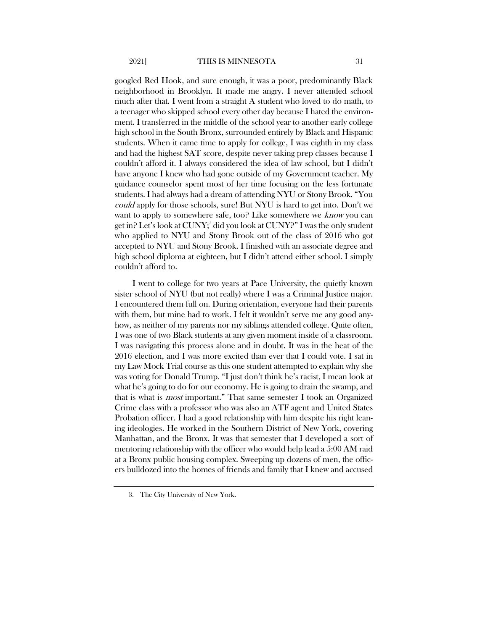googled Red Hook, and sure enough, it was a poor, predominantly Black neighborhood in Brooklyn. It made me angry. I never attended school much after that. I went from a straight A student who loved to do math, to a teenager who skipped school every other day because I hated the environment. I transferred in the middle of the school year to another early college high school in the South Bronx, surrounded entirely by Black and Hispanic students. When it came time to apply for college, I was eighth in my class and had the highest SAT score, despite never taking prep classes because I couldn't afford it. I always considered the idea of law school, but I didn't have anyone I knew who had gone outside of my Government teacher. My guidance counselor spent most of her time focusing on the less fortunate students. I had always had a dream of attending NYU or Stony Brook. "You could apply for those schools, sure! But NYU is hard to get into. Don't we want to apply to somewhere safe, too? Like somewhere we know you can get in? Let's look at CUNY; [3](#page-7-0) did you look at CUNY?" I was the only student who applied to NYU and Stony Brook out of the class of 2016 who got accepted to NYU and Stony Brook. I finished with an associate degree and high school diploma at eighteen, but I didn't attend either school. I simply couldn't afford to.

I went to college for two years at Pace University, the quietly known sister school of NYU (but not really) where I was a Criminal Justice major. I encountered them full on. During orientation, everyone had their parents with them, but mine had to work. I felt it wouldn't serve me any good anyhow, as neither of my parents nor my siblings attended college. Quite often, I was one of two Black students at any given moment inside of a classroom. I was navigating this process alone and in doubt. It was in the heat of the 2016 election, and I was more excited than ever that I could vote. I sat in my Law Mock Trial course as this one student attempted to explain why she was voting for Donald Trump. "I just don't think he's racist, I mean look at what he's going to do for our economy. He is going to drain the swamp, and that is what is most important." That same semester I took an Organized Crime class with a professor who was also an ATF agent and United States Probation officer. I had a good relationship with him despite his right leaning ideologies. He worked in the Southern District of New York, covering Manhattan, and the Bronx. It was that semester that I developed a sort of mentoring relationship with the officer who would help lead a 5:00 AM raid at a Bronx public housing complex. Sweeping up dozens of men, the officers bulldozed into the homes of friends and family that I knew and accused

<span id="page-7-0"></span><sup>3.</sup> The City University of New York.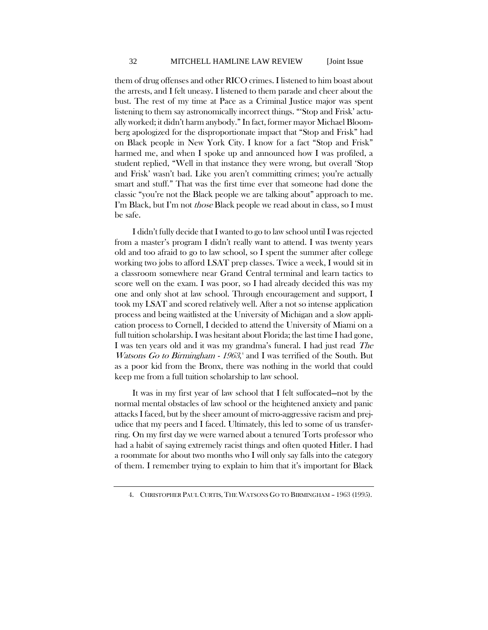them of drug offenses and other RICO crimes. I listened to him boast about the arrests, and I felt uneasy. I listened to them parade and cheer about the bust. The rest of my time at Pace as a Criminal Justice major was spent listening to them say astronomically incorrect things. "'Stop and Frisk' actually worked; it didn't harm anybody." In fact, former mayor Michael Bloomberg apologized for the disproportionate impact that "Stop and Frisk" had on Black people in New York City. I know for a fact "Stop and Frisk" harmed me, and when I spoke up and announced how I was profiled, a student replied, "Well in that instance they were wrong, but overall 'Stop and Frisk' wasn't bad. Like you aren't committing crimes; you're actually smart and stuff." That was the first time ever that someone had done the classic "you're not the Black people we are talking about" approach to me. I'm Black, but I'm not *those* Black people we read about in class, so I must be safe.

I didn't fully decide that I wanted to go to law school until I was rejected from a master's program I didn't really want to attend. I was twenty years old and too afraid to go to law school, so I spent the summer after college working two jobs to afford LSAT prep classes. Twice a week, I would sit in a classroom somewhere near Grand Central terminal and learn tactics to score well on the exam. I was poor, so I had already decided this was my one and only shot at law school. Through encouragement and support, I took my LSAT and scored relatively well. After a not so intense application process and being waitlisted at the University of Michigan and a slow application process to Cornell, I decided to attend the University of Miami on a full tuition scholarship. I was hesitant about Florida; the last time I had gone, I was ten years old and it was my grandma's funeral. I had just read The Watsons Go to Birmingham - 1963,<sup>[4](#page-8-0)</sup> and I was terrified of the South. But as a poor kid from the Bronx, there was nothing in the world that could keep me from a full tuition scholarship to law school.

It was in my first year of law school that I felt suffocated—not by the normal mental obstacles of law school or the heightened anxiety and panic attacks I faced, but by the sheer amount of micro-aggressive racism and prejudice that my peers and I faced. Ultimately, this led to some of us transferring. On my first day we were warned about a tenured Torts professor who had a habit of saying extremely racist things and often quoted Hitler. I had a roommate for about two months who I will only say falls into the category of them. I remember trying to explain to him that it's important for Black

<span id="page-8-0"></span><sup>4.</sup> CHRISTOPHER PAUL CURTIS, THE WATSONS GO TO BIRMINGHAM – 1963 (1995).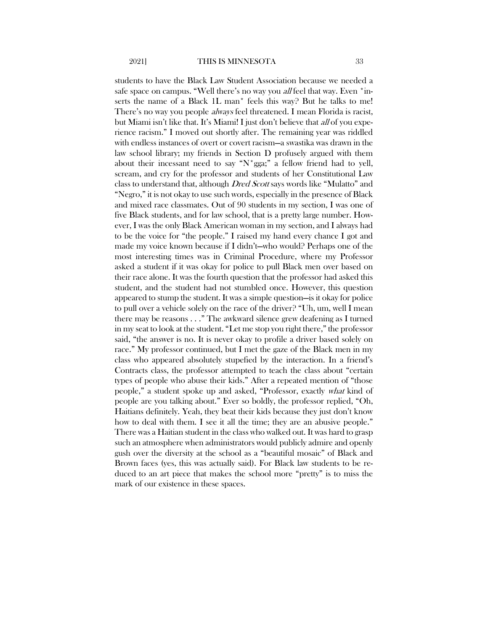students to have the Black Law Student Association because we needed a safe space on campus. "Well there's no way you all feel that way. Even \*inserts the name of a Black 1L man\* feels this way? But he talks to me! There's no way you people *always* feel threatened. I mean Florida is racist, but Miami isn't like that. It's Miami! I just don't believe that all of you experience racism." I moved out shortly after. The remaining year was riddled with endless instances of overt or covert racism—a swastika was drawn in the law school library; my friends in Section D profusely argued with them about their incessant need to say "N\*gga;" a fellow friend had to yell, scream, and cry for the professor and students of her Constitutional Law class to understand that, although *Dred Scott* says words like "Mulatto" and "Negro," it is not okay to use such words, especially in the presence of Black and mixed race classmates. Out of 90 students in my section, I was one of five Black students, and for law school, that is a pretty large number. However, I was the only Black American woman in my section, and I always had to be the voice for "the people." I raised my hand every chance I got and made my voice known because if I didn't—who would? Perhaps one of the most interesting times was in Criminal Procedure, where my Professor asked a student if it was okay for police to pull Black men over based on their race alone. It was the fourth question that the professor had asked this student, and the student had not stumbled once. However, this question appeared to stump the student. It was a simple question—is it okay for police to pull over a vehicle solely on the race of the driver? "Uh, um, well I mean there may be reasons . . ." The awkward silence grew deafening as I turned in my seat to look at the student. "Let me stop you right there," the professor said, "the answer is no. It is never okay to profile a driver based solely on race." My professor continued, but I met the gaze of the Black men in my class who appeared absolutely stupefied by the interaction. In a friend's Contracts class, the professor attempted to teach the class about "certain types of people who abuse their kids." After a repeated mention of "those people," a student spoke up and asked, "Professor, exactly what kind of people are you talking about." Ever so boldly, the professor replied, "Oh, Haitians definitely. Yeah, they beat their kids because they just don't know how to deal with them. I see it all the time; they are an abusive people." There was a Haitian student in the class who walked out. It was hard to grasp such an atmosphere when administrators would publicly admire and openly gush over the diversity at the school as a "beautiful mosaic" of Black and Brown faces (yes, this was actually said). For Black law students to be reduced to an art piece that makes the school more "pretty" is to miss the mark of our existence in these spaces.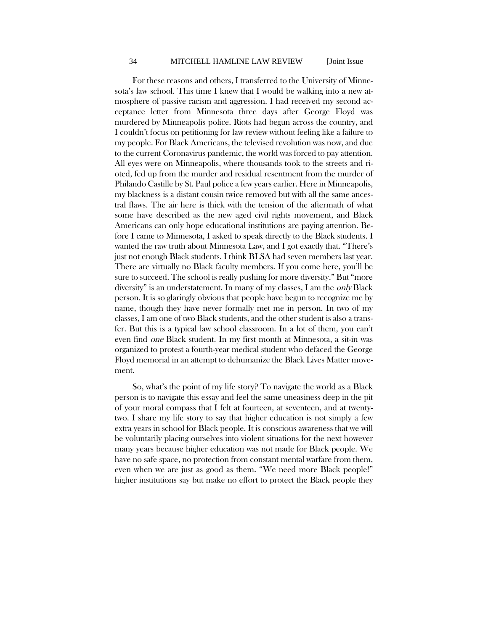#### 34 MITCHELL HAMLINE LAW REVIEW [Joint Issue

For these reasons and others, I transferred to the University of Minnesota's law school. This time I knew that I would be walking into a new atmosphere of passive racism and aggression. I had received my second acceptance letter from Minnesota three days after George Floyd was murdered by Minneapolis police. Riots had begun across the country, and I couldn't focus on petitioning for law review without feeling like a failure to my people. For Black Americans, the televised revolution was now, and due to the current Coronavirus pandemic, the world was forced to pay attention. All eyes were on Minneapolis, where thousands took to the streets and rioted, fed up from the murder and residual resentment from the murder of Philando Castille by St. Paul police a few years earlier. Here in Minneapolis, my blackness is a distant cousin twice removed but with all the same ancestral flaws. The air here is thick with the tension of the aftermath of what some have described as the new aged civil rights movement, and Black Americans can only hope educational institutions are paying attention. Before I came to Minnesota, I asked to speak directly to the Black students. I wanted the raw truth about Minnesota Law, and I got exactly that. "There's just not enough Black students. I think BLSA had seven members last year. There are virtually no Black faculty members. If you come here, you'll be sure to succeed. The school is really pushing for more diversity." But "more diversity" is an understatement. In many of my classes, I am the *only* Black person. It is so glaringly obvious that people have begun to recognize me by name, though they have never formally met me in person. In two of my classes, I am one of two Black students, and the other student is also a transfer. But this is a typical law school classroom. In a lot of them, you can't even find one Black student. In my first month at Minnesota, a sit-in was organized to protest a fourth-year medical student who defaced the George Floyd memorial in an attempt to dehumanize the Black Lives Matter movement.

So, what's the point of my life story? To navigate the world as a Black person is to navigate this essay and feel the same uneasiness deep in the pit of your moral compass that I felt at fourteen, at seventeen, and at twentytwo. I share my life story to say that higher education is not simply a few extra years in school for Black people. It is conscious awareness that we will be voluntarily placing ourselves into violent situations for the next however many years because higher education was not made for Black people. We have no safe space, no protection from constant mental warfare from them, even when we are just as good as them. "We need more Black people!" higher institutions say but make no effort to protect the Black people they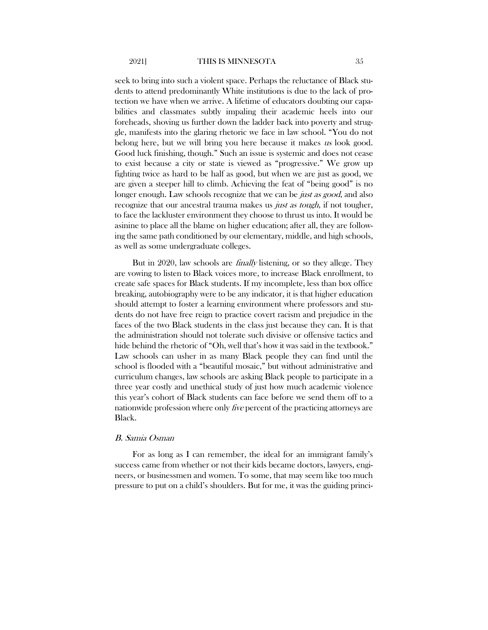seek to bring into such a violent space. Perhaps the reluctance of Black students to attend predominantly White institutions is due to the lack of protection we have when we arrive. A lifetime of educators doubting our capabilities and classmates subtly impaling their academic heels into our foreheads, shoving us further down the ladder back into poverty and struggle, manifests into the glaring rhetoric we face in law school. "You do not belong here, but we will bring you here because it makes us look good. Good luck finishing, though." Such an issue is systemic and does not cease to exist because a city or state is viewed as "progressive." We grow up fighting twice as hard to be half as good, but when we are just as good, we are given a steeper hill to climb. Achieving the feat of "being good" is no longer enough. Law schools recognize that we can be *just as good*, and also recognize that our ancestral trauma makes us *just as tough*, if not tougher, to face the lackluster environment they choose to thrust us into. It would be asinine to place all the blame on higher education; after all, they are following the same path conditioned by our elementary, middle, and high schools, as well as some undergraduate colleges.

But in 2020, law schools are *finally* listening, or so they allege. They are vowing to listen to Black voices more, to increase Black enrollment, to create safe spaces for Black students. If my incomplete, less than box office breaking, autobiography were to be any indicator, it is that higher education should attempt to foster a learning environment where professors and students do not have free reign to practice covert racism and prejudice in the faces of the two Black students in the class just because they can. It is that the administration should not tolerate such divisive or offensive tactics and hide behind the rhetoric of "Oh, well that's how it was said in the textbook." Law schools can usher in as many Black people they can find until the school is flooded with a "beautiful mosaic," but without administrative and curriculum changes, law schools are asking Black people to participate in a three year costly and unethical study of just how much academic violence this year's cohort of Black students can face before we send them off to a nationwide profession where only five percent of the practicing attorneys are Black.

#### B. Samia Osman

For as long as I can remember, the ideal for an immigrant family's success came from whether or not their kids became doctors, lawyers, engineers, or businessmen and women. To some, that may seem like too much pressure to put on a child's shoulders. But for me, it was the guiding princi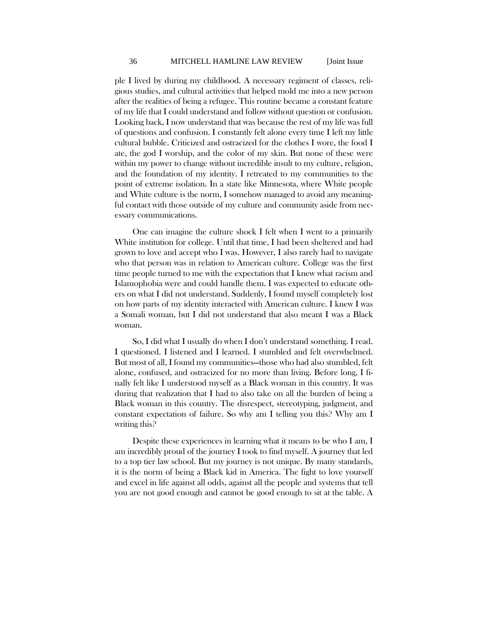ple I lived by during my childhood. A necessary regiment of classes, religious studies, and cultural activities that helped mold me into a new person after the realities of being a refugee. This routine became a constant feature of my life that I could understand and follow without question or confusion. Looking back, I now understand that was because the rest of my life was full of questions and confusion. I constantly felt alone every time I left my little cultural bubble. Criticized and ostracized for the clothes I wore, the food I ate, the god I worship, and the color of my skin. But none of these were within my power to change without incredible insult to my culture, religion, and the foundation of my identity. I retreated to my communities to the point of extreme isolation. In a state like Minnesota, where White people and White culture is the norm, I somehow managed to avoid any meaningful contact with those outside of my culture and community aside from necessary communications.

One can imagine the culture shock I felt when I went to a primarily White institution for college. Until that time, I had been sheltered and had grown to love and accept who I was. However, I also rarely had to navigate who that person was in relation to American culture. College was the first time people turned to me with the expectation that I knew what racism and Islamophobia were and could handle them. I was expected to educate others on what I did not understand. Suddenly, I found myself completely lost on how parts of my identity interacted with American culture. I knew I was a Somali woman, but I did not understand that also meant I was a Black woman.

So, I did what I usually do when I don't understand something. I read. I questioned. I listened and I learned. I stumbled and felt overwhelmed. But most of all, I found my communities—those who had also stumbled, felt alone, confused, and ostracized for no more than living. Before long, I finally felt like I understood myself as a Black woman in this country. It was during that realization that I had to also take on all the burden of being a Black woman in this country. The disrespect, stereotyping, judgment, and constant expectation of failure. So why am I telling you this? Why am I writing this?

Despite these experiences in learning what it means to be who I am, I am incredibly proud of the journey I took to find myself. A journey that led to a top tier law school. But my journey is not unique. By many standards, it is the norm of being a Black kid in America. The fight to love yourself and excel in life against all odds, against all the people and systems that tell you are not good enough and cannot be good enough to sit at the table. A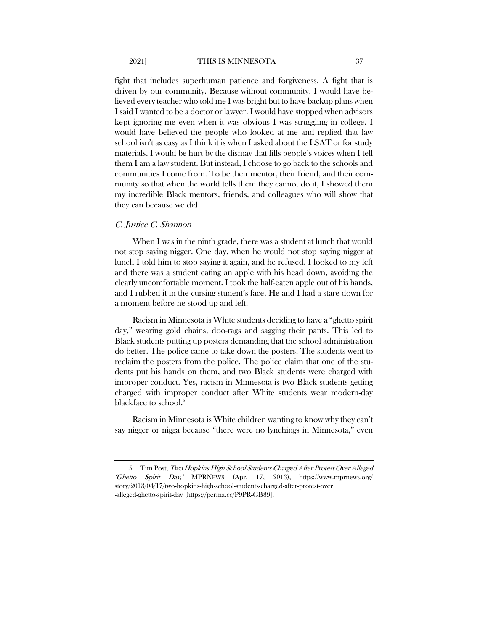fight that includes superhuman patience and forgiveness. A fight that is driven by our community. Because without community, I would have believed every teacher who told me I was bright but to have backup plans when I said I wanted to be a doctor or lawyer. I would have stopped when advisors kept ignoring me even when it was obvious I was struggling in college. I would have believed the people who looked at me and replied that law school isn't as easy as I think it is when I asked about the LSAT or for study materials. I would be hurt by the dismay that fills people's voices when I tell them I am a law student. But instead, I choose to go back to the schools and communities I come from. To be their mentor, their friend, and their community so that when the world tells them they cannot do it, I showed them my incredible Black mentors, friends, and colleagues who will show that they can because we did.

#### C. Justice C. Shannon

When I was in the ninth grade, there was a student at lunch that would not stop saying nigger. One day, when he would not stop saying nigger at lunch I told him to stop saying it again, and he refused. I looked to my left and there was a student eating an apple with his head down, avoiding the clearly uncomfortable moment. I took the half-eaten apple out of his hands, and I rubbed it in the cursing student's face. He and I had a stare down for a moment before he stood up and left.

Racism in Minnesota is White students deciding to have a "ghetto spirit day," wearing gold chains, doo-rags and sagging their pants. This led to Black students putting up posters demanding that the school administration do better. The police came to take down the posters. The students went to reclaim the posters from the police. The police claim that one of the students put his hands on them, and two Black students were charged with improper conduct. Yes, racism in Minnesota is two Black students getting charged with improper conduct after White students wear modern-day blackface to school.<sup>[5](#page-13-0)</sup>

Racism in Minnesota is White children wanting to know why they can't say nigger or nigga because "there were no lynchings in Minnesota," even

<span id="page-13-0"></span><sup>5.</sup> Tim Post, Two Hopkins High School Students Charged After Protest Over Alleged 'Ghetto Spirit Day,' MPRNEWS (Apr. 17, 2013), https://www.mprnews.org/ story/2013/04/17/two-hopkins-high-school-students-charged-after-protest-over -alleged-ghetto-spirit-day [https://perma.cc/P9PR-GB89].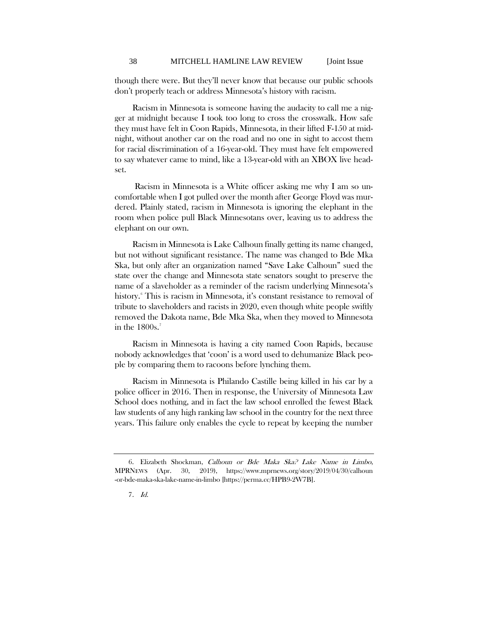though there were. But they'll never know that because our public schools don't properly teach or address Minnesota's history with racism.

Racism in Minnesota is someone having the audacity to call me a nigger at midnight because I took too long to cross the crosswalk. How safe they must have felt in Coon Rapids, Minnesota, in their lifted F-150 at midnight, without another car on the road and no one in sight to accost them for racial discrimination of a 16-year-old. They must have felt empowered to say whatever came to mind, like a 13-year-old with an XBOX live headset.

Racism in Minnesota is a White officer asking me why I am so uncomfortable when I got pulled over the month after George Floyd was murdered. Plainly stated, racism in Minnesota is ignoring the elephant in the room when police pull Black Minnesotans over, leaving us to address the elephant on our own.

Racism in Minnesota is Lake Calhoun finally getting its name changed, but not without significant resistance. The name was changed to Bde Mka Ska, but only after an organization named "Save Lake Calhoun" sued the state over the change and Minnesota state senators sought to preserve the name of a slaveholder as a reminder of the racism underlying Minnesota's history[.6](#page-14-0) This is racism in Minnesota, it's constant resistance to removal of tribute to slaveholders and racists in 2020, even though white people swiftly removed the Dakota name, Bde Mka Ska, when they moved to Minnesota in the  $1800s$ .<sup>[7](#page-14-1)</sup>

Racism in Minnesota is having a city named Coon Rapids, because nobody acknowledges that 'coon' is a word used to dehumanize Black people by comparing them to racoons before lynching them.

Racism in Minnesota is Philando Castille being killed in his car by a police officer in 2016. Then in response, the University of Minnesota Law School does nothing, and in fact the law school enrolled the fewest Black law students of any high ranking law school in the country for the next three years. This failure only enables the cycle to repeat by keeping the number

<span id="page-14-1"></span><span id="page-14-0"></span><sup>6.</sup> Elizabeth Shockman, Calhoun or Bde Maka Ska? Lake Name in Limbo, MPRNEWS (Apr. 30, 2019), https://www.mprnews.org/story/2019/04/30/calhoun -or-bde-maka-ska-lake-name-in-limbo [https://perma.cc/HPB9-2W7B].

<sup>7</sup>. Id.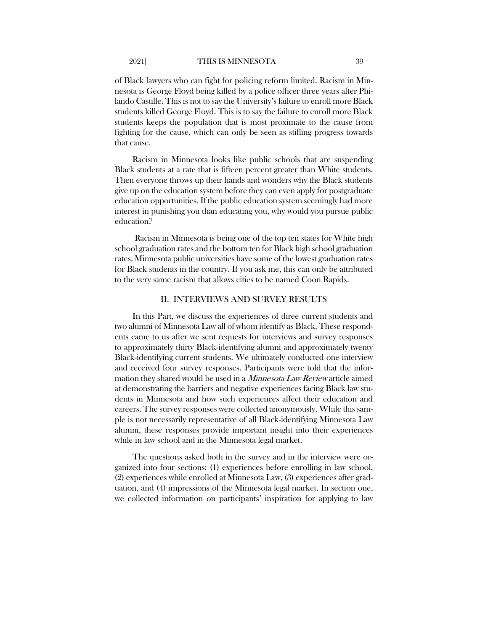of Black lawyers who can fight for policing reform limited. Racism in Minnesota is George Floyd being killed by a police officer three years after Philando Castille. This is not to say the University's failure to enroll more Black students killed George Floyd. This is to say the failure to enroll more Black students keeps the population that is most proximate to the cause from fighting for the cause, which can only be seen as stifling progress towards that cause.

Racism in Minnesota looks like public schools that are suspending Black students at a rate that is fifteen percent greater than White students. Then everyone throws up their hands and wonders why the Black students give up on the education system before they can even apply for postgraduate education opportunities. If the public education system seemingly had more interest in punishing you than educating you, why would you pursue public education?

Racism in Minnesota is being one of the top ten states for White high school graduation rates and the bottom ten for Black high school graduation rates. Minnesota public universities have some of the lowest graduation rates for Black students in the country. If you ask me, this can only be attributed to the very same racism that allows cities to be named Coon Rapids.

#### II. INTERVIEWS AND SURVEY RESULTS

In this Part, we discuss the experiences of three current students and two alumni of Minnesota Law all of whom identify as Black. These respondents came to us after we sent requests for interviews and survey responses to approximately thirty Black-identifying alumni and approximately twenty Black-identifying current students. We ultimately conducted one interview and received four survey responses. Participants were told that the information they shared would be used in a Minnesota Law Review article aimed at demonstrating the barriers and negative experiences facing Black law students in Minnesota and how such experiences affect their education and careers. The survey responses were collected anonymously. While this sample is not necessarily representative of all Black-identifying Minnesota Law alumni, these responses provide important insight into their experiences while in law school and in the Minnesota legal market.

The questions asked both in the survey and in the interview were organized into four sections: (1) experiences before enrolling in law school, (2) experiences while enrolled at Minnesota Law, (3) experiences after graduation, and (4) impressions of the Minnesota legal market. In section one, we collected information on participants' inspiration for applying to law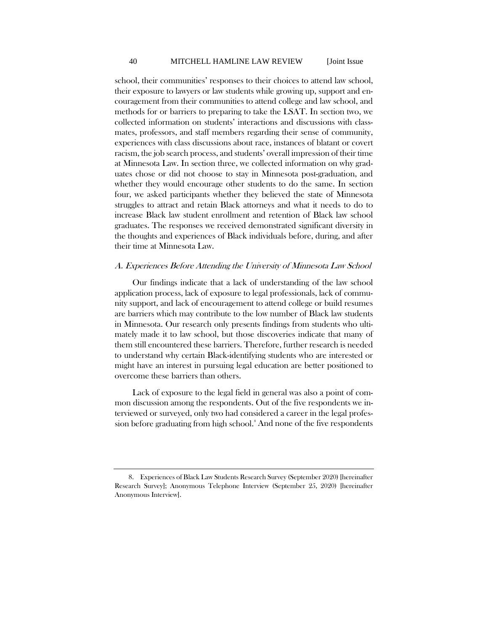school, their communities' responses to their choices to attend law school, their exposure to lawyers or law students while growing up, support and encouragement from their communities to attend college and law school, and methods for or barriers to preparing to take the LSAT. In section two, we collected information on students' interactions and discussions with classmates, professors, and staff members regarding their sense of community, experiences with class discussions about race, instances of blatant or covert racism, the job search process, and students' overall impression of their time at Minnesota Law. In section three, we collected information on why graduates chose or did not choose to stay in Minnesota post-graduation, and whether they would encourage other students to do the same. In section four, we asked participants whether they believed the state of Minnesota struggles to attract and retain Black attorneys and what it needs to do to increase Black law student enrollment and retention of Black law school graduates. The responses we received demonstrated significant diversity in the thoughts and experiences of Black individuals before, during, and after their time at Minnesota Law.

#### A. Experiences Before Attending the University of Minnesota Law School

Our findings indicate that a lack of understanding of the law school application process, lack of exposure to legal professionals, lack of community support, and lack of encouragement to attend college or build resumes are barriers which may contribute to the low number of Black law students in Minnesota. Our research only presents findings from students who ultimately made it to law school, but those discoveries indicate that many of them still encountered these barriers. Therefore, further research is needed to understand why certain Black-identifying students who are interested or might have an interest in pursuing legal education are better positioned to overcome these barriers than others.

<span id="page-16-1"></span>Lack of exposure to the legal field in general was also a point of common discussion among the respondents. Out of the five respondents we interviewed or surveyed, only two had considered a career in the legal profes-sion before graduating from high school.<sup>[8](#page-16-0)</sup> And none of the five respondents

<span id="page-16-0"></span><sup>8.</sup> Experiences of Black Law Students Research Survey (September 2020) [hereinafter Research Survey]; Anonymous Telephone Interview (September 25, 2020) [hereinafter Anonymous Interview].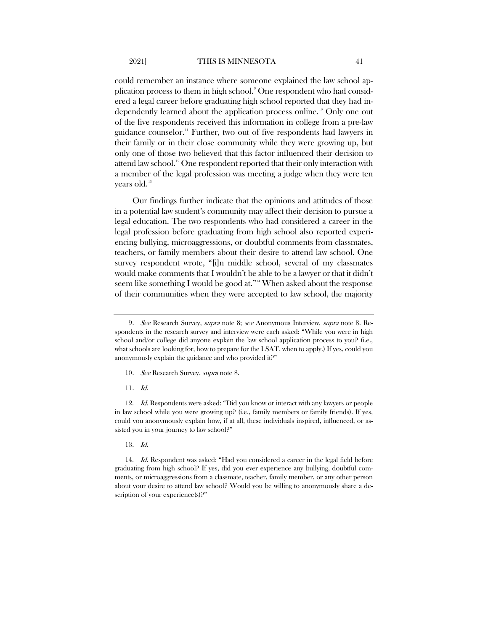could remember an instance where someone explained the law school application process to them in high school. $^{\circ}$  One respondent who had considered a legal career before graduating high school reported that they had in-dependently learned about the application process online.<sup>[10](#page-17-1)</sup> Only one out of the five respondents received this information in college from a pre-law guidance counselor.[11](#page-17-2) Further, two out of five respondents had lawyers in their family or in their close community while they were growing up, but only one of those two believed that this factor influenced their decision to attend law school.<sup>[12](#page-17-3)</sup> One respondent reported that their only interaction with a member of the legal profession was meeting a judge when they were ten years old.<sup>[13](#page-17-4)</sup>

Our findings further indicate that the opinions and attitudes of those in a potential law student's community may affect their decision to pursue a legal education. The two respondents who had considered a career in the legal profession before graduating from high school also reported experiencing bullying, microaggressions, or doubtful comments from classmates, teachers, or family members about their desire to attend law school. One survey respondent wrote, "[i]n middle school, several of my classmates would make comments that I wouldn't be able to be a lawyer or that it didn't seem like something I would be good at."[14](#page-17-5) When asked about the response of their communities when they were accepted to law school, the majority

- 10. See Research Survey, supra note [8.](#page-16-1)
- 11. Id.

<span id="page-17-3"></span><span id="page-17-2"></span><span id="page-17-1"></span>12. Id. Respondents were asked: "Did you know or interact with any lawyers or people in law school while you were growing up? (i.e., family members or family friends). If yes, could you anonymously explain how, if at all, these individuals inspired, influenced, or assisted you in your journey to law school?"

13. Id.

<span id="page-17-5"></span><span id="page-17-4"></span>14. Id. Respondent was asked: "Had you considered a career in the legal field before graduating from high school? If yes, did you ever experience any bullying, doubtful comments, or microaggressions from a classmate, teacher, family member, or any other person about your desire to attend law school? Would you be willing to anonymously share a description of your experience(s)?"

<span id="page-17-0"></span><sup>9.</sup> See Research Survey, *supra* note [8;](#page-16-1) see Anonymous Interview, *supra* note [8.](#page-16-1) Respondents in the research survey and interview were each asked: "While you were in high school and/or college did anyone explain the law school application process to you? (i.e., what schools are looking for, how to prepare for the LSAT, when to apply.) If yes, could you anonymously explain the guidance and who provided it?"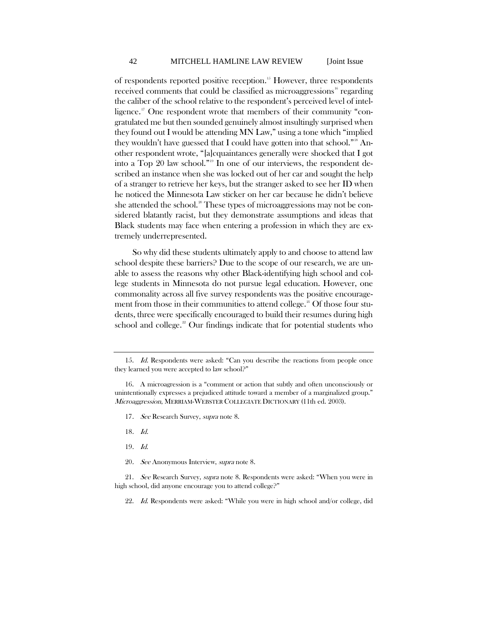of respondents reported positive reception.[15](#page-18-0) However, three respondents received comments that could be classified as microaggressions<sup>[16](#page-18-1)</sup> regarding the caliber of the school relative to the respondent's perceived level of intel-ligence.<sup>[17](#page-18-2)</sup> One respondent wrote that members of their community "congratulated me but then sounded genuinely almost insultingly surprised when they found out I would be attending MN Law," using a tone which "implied they wouldn't have guessed that I could have gotten into that school."<sup>[18](#page-18-3)</sup> Another respondent wrote, "[a]cquaintances generally were shocked that I got into a Top 20 law school."[19](#page-18-4) In one of our interviews, the respondent described an instance when she was locked out of her car and sought the help of a stranger to retrieve her keys, but the stranger asked to see her ID when he noticed the Minnesota Law sticker on her car because he didn't believe she attended the school.<sup>[20](#page-18-5)</sup> These types of microaggressions may not be considered blatantly racist, but they demonstrate assumptions and ideas that Black students may face when entering a profession in which they are extremely underrepresented.

So why did these students ultimately apply to and choose to attend law school despite these barriers? Due to the scope of our research, we are unable to assess the reasons why other Black-identifying high school and college students in Minnesota do not pursue legal education. However, one commonality across all five survey respondents was the positive encourage-ment from those in their communities to attend college.<sup>[21](#page-18-6)</sup> Of those four students, three were specifically encouraged to build their resumes during high school and college. $22$  Our findings indicate that for potential students who

- 17. See Research Survey, supra note 8.
- 18. Id.
- 19. Id.
- 20. See Anonymous Interview, supra note [8.](#page-16-1)

<span id="page-18-0"></span><sup>15.</sup> Id. Respondents were asked: "Can you describe the reactions from people once they learned you were accepted to law school?"

<span id="page-18-2"></span><span id="page-18-1"></span><sup>16.</sup> A microagression is a "comment or action that subtly and often unconsciously or unintentionally expresses a prejudiced attitude toward a member of a marginalized group." Microaggression, MERRIAM-WEBSTER COLLEGIATE DICTIONARY (11th ed. 2003).

<span id="page-18-7"></span><span id="page-18-6"></span><span id="page-18-5"></span><span id="page-18-4"></span><span id="page-18-3"></span><sup>21.</sup> See Research Survey, supra note [8.](#page-16-1) Respondents were asked: "When you were in high school, did anyone encourage you to attend college?"

<sup>22.</sup> Id. Respondents were asked: "While you were in high school and/or college, did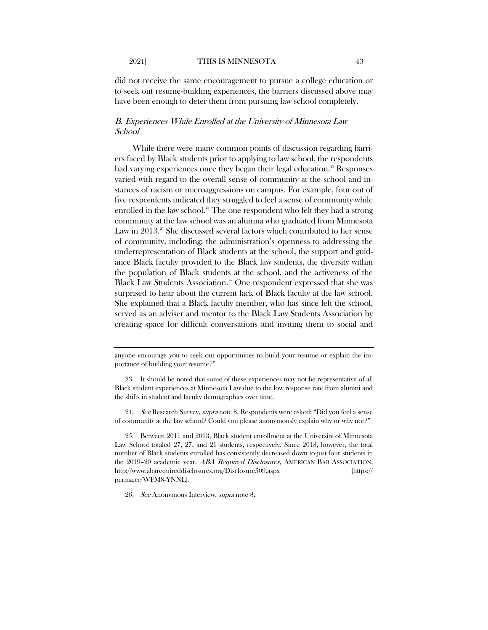did not receive the same encouragement to pursue a college education or to seek out resume-building experiences, the barriers discussed above may have been enough to deter them from pursuing law school completely.

#### B. Experiences While Enrolled at the University of Minnesota Law School

<span id="page-19-4"></span>While there were many common points of discussion regarding barriers faced by Black students prior to applying to law school, the respondents had varying experiences once they began their legal education.<sup>[23](#page-19-0)</sup> Responses varied with regard to the overall sense of community at the school and instances of racism or microaggressions on campus. For example, four out of five respondents indicated they struggled to feel a sense of community while enrolled in the law school.<sup>[24](#page-19-1)</sup> The one respondent who felt they had a strong community at the law school was an alumna who graduated from Minnesota Law in  $2013$ .<sup>[25](#page-19-2)</sup> She discussed several factors which contributed to her sense of community, including: the administration's openness to addressing the underrepresentation of Black students at the school, the support and guidance Black faculty provided to the Black law students, the diversity within the population of Black students at the school, and the activeness of the Black Law Students Association.<sup>[26](#page-19-3)</sup> One respondent expressed that she was surprised to hear about the current lack of Black faculty at the law school. She explained that a Black faculty member, who has since left the school, served as an adviser and mentor to the Black Law Students Association by creating space for difficult conversations and inviting them to social and

<span id="page-19-1"></span>24. See Research Survey, supra note [8.](#page-16-1) Respondents were asked: "Did you feel a sense of community at the law school? Could you please anonymously explain why or why not?"

<span id="page-19-2"></span>25. Between 2011 and 2013, Black student enrollment at the University of Minnesota Law School totaled 27, 27, and 21 students, respectively. Since 2013, however, the total number of Black students enrolled has consistently decreased down to just four students in the 2019–20 academic year. ABA Required Disclosures, AMERICAN BAR ASSOCIATION, http://www.abarequireddisclosures.org/Disclosure509.aspx [https:// perma.cc/WFM8-YNNL].

<span id="page-19-3"></span>26. See Anonymous Interview, supra note 8.

anyone encourage you to seek out opportunities to build your resume or explain the importance of building your resume?"

<span id="page-19-0"></span><sup>23.</sup> It should be noted that some of these experiences may not be representative of all Black student experiences at Minnesota Law due to the low response rate from alumni and the shifts in student and faculty demographics over time.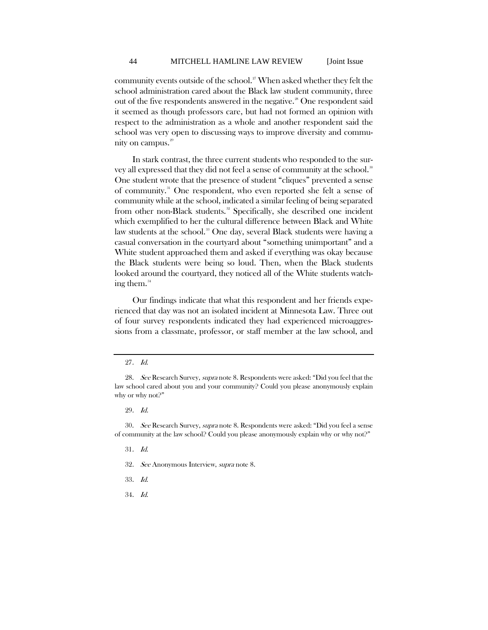community events outside of the school.<sup>[27](#page-20-0)</sup> When asked whether they felt the school administration cared about the Black law student community, three out of the five respondents answered in the negative.<sup>[28](#page-20-1)</sup> One respondent said it seemed as though professors care, but had not formed an opinion with respect to the administration as a whole and another respondent said the school was very open to discussing ways to improve diversity and commu-nity on campus.<sup>[29](#page-20-2)</sup>

In stark contrast, the three current students who responded to the sur-vey all expressed that they did not feel a sense of community at the school.<sup>[30](#page-20-3)</sup> One student wrote that the presence of student "cliques" prevented a sense of community.[31](#page-20-4) One respondent, who even reported she felt a sense of community while at the school, indicated a similar feeling of being separated from other non-Black students.<sup>[32](#page-20-5)</sup> Specifically, she described one incident which exemplified to her the cultural difference between Black and White law students at the school.<sup>33</sup> One day, several Black students were having a casual conversation in the courtyard about "something unimportant" and a White student approached them and asked if everything was okay because the Black students were being so loud. Then, when the Black students looked around the courtyard, they noticed all of the White students watching them. $34$ 

Our findings indicate that what this respondent and her friends experienced that day was not an isolated incident at Minnesota Law. Three out of four survey respondents indicated they had experienced microaggressions from a classmate, professor, or staff member at the law school, and

29. Id.

<span id="page-20-5"></span><span id="page-20-4"></span><span id="page-20-3"></span><span id="page-20-2"></span>30. See Research Survey, supra note [8.](#page-16-1) Respondents were asked: "Did you feel a sense of community at the law school? Could you please anonymously explain why or why not?"

- 31. Id.
- 32. See Anonymous Interview, supra note [8.](#page-16-1)
- <span id="page-20-6"></span>33. Id.
- <span id="page-20-7"></span>34. Id.

<sup>27</sup>. Id.

<span id="page-20-1"></span><span id="page-20-0"></span><sup>28.</sup> See Research Survey, supra not[e 8.](#page-16-1) Respondents were asked: "Did you feel that the law school cared about you and your community? Could you please anonymously explain why or why not?"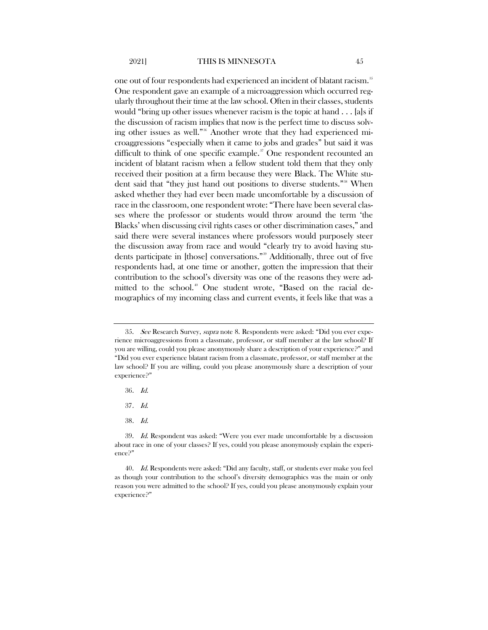one out of four respondents had experienced an incident of blatant racism.<sup>[35](#page-21-0)</sup> One respondent gave an example of a microaggression which occurred regularly throughout their time at the law school. Often in their classes, students would "bring up other issues whenever racism is the topic at hand . . . [a]s if the discussion of racism implies that now is the perfect time to discuss solving other issues as well."[36](#page-21-1) Another wrote that they had experienced microaggressions "especially when it came to jobs and grades" but said it was difficult to think of one specific example.<sup>[37](#page-21-2)</sup> One respondent recounted an incident of blatant racism when a fellow student told them that they only received their position at a firm because they were Black. The White stu-dent said that "they just hand out positions to diverse students."<sup>[38](#page-21-3)</sup> When asked whether they had ever been made uncomfortable by a discussion of race in the classroom, one respondent wrote: "There have been several classes where the professor or students would throw around the term 'the Blacks' when discussing civil rights cases or other discrimination cases," and said there were several instances where professors would purposely steer the discussion away from race and would "clearly try to avoid having stu-dents participate in [those] conversations."<sup>[39](#page-21-4)</sup> Additionally, three out of five respondents had, at one time or another, gotten the impression that their contribution to the school's diversity was one of the reasons they were ad-mitted to the school.<sup>[40](#page-21-5)</sup> One student wrote, "Based on the racial demographics of my incoming class and current events, it feels like that was a

- 36. Id.
- 37. Id.
- 38. Id.

<span id="page-21-0"></span><sup>35.</sup> See Research Survey, supra not[e 8.](#page-16-1) Respondents were asked: "Did you ever experience microaggressions from a classmate, professor, or staff member at the law school? If you are willing, could you please anonymously share a description of your experience?" and "Did you ever experience blatant racism from a classmate, professor, or staff member at the law school? If you are willing, could you please anonymously share a description of your experience?"

<span id="page-21-4"></span><span id="page-21-3"></span><span id="page-21-2"></span><span id="page-21-1"></span><sup>39.</sup> Id. Respondent was asked: "Were you ever made uncomfortable by a discussion about race in one of your classes? If yes, could you please anonymously explain the experience?"

<span id="page-21-5"></span><sup>40.</sup> Id. Respondents were asked: "Did any faculty, staff, or students ever make you feel as though your contribution to the school's diversity demographics was the main or only reason you were admitted to the school? If yes, could you please anonymously explain your experience?"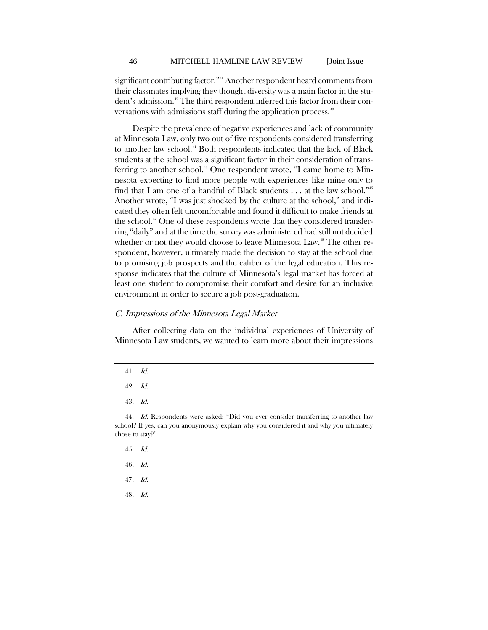significant contributing factor."<sup>[41](#page-22-0)</sup> Another respondent heard comments from their classmates implying they thought diversity was a main factor in the stu-dent's admission.<sup>[42](#page-22-1)</sup> The third respondent inferred this factor from their conversations with admissions staff during the application process.<sup>43</sup>

Despite the prevalence of negative experiences and lack of community at Minnesota Law, only two out of five respondents considered transferring to another law school.<sup>[44](#page-22-3)</sup> Both respondents indicated that the lack of Black students at the school was a significant factor in their consideration of trans-ferring to another school.<sup>[45](#page-22-4)</sup> One respondent wrote, "I came home to Minnesota expecting to find more people with experiences like mine only to find that I am one of a handful of Black students  $\dots$  at the law school."<sup>[46](#page-22-5)</sup> Another wrote, "I was just shocked by the culture at the school," and indicated they often felt uncomfortable and found it difficult to make friends at the school.<sup>[47](#page-22-6)</sup> One of these respondents wrote that they considered transferring "daily" and at the time the survey was administered had still not decided whether or not they would choose to leave Minnesota Law.<sup>[48](#page-22-7)</sup> The other respondent, however, ultimately made the decision to stay at the school due to promising job prospects and the caliber of the legal education. This response indicates that the culture of Minnesota's legal market has forced at least one student to compromise their comfort and desire for an inclusive environment in order to secure a job post-graduation.

#### C. Impressions of the Minnesota Legal Market

<span id="page-22-0"></span>After collecting data on the individual experiences of University of Minnesota Law students, we wanted to learn more about their impressions

43. Id.

- 45. Id.
- 46. Id.
- <span id="page-22-6"></span>47. Id.
- <span id="page-22-7"></span>48. Id.

<sup>41</sup>. Id.

<sup>42</sup>. Id.

<span id="page-22-5"></span><span id="page-22-4"></span><span id="page-22-3"></span><span id="page-22-2"></span><span id="page-22-1"></span><sup>44.</sup> Id. Respondents were asked: "Did you ever consider transferring to another law school? If yes, can you anonymously explain why you considered it and why you ultimately chose to stay?"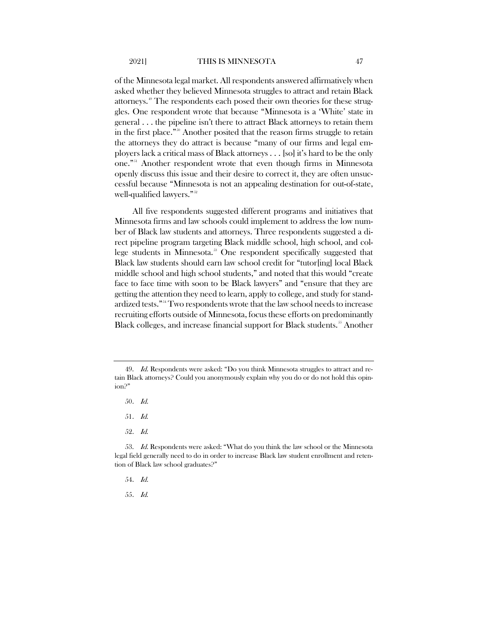of the Minnesota legal market. All respondents answered affirmatively when asked whether they believed Minnesota struggles to attract and retain Black attorneys.[49](#page-23-0) The respondents each posed their own theories for these struggles. One respondent wrote that because "Minnesota is a 'White' state in general . . . the pipeline isn't there to attract Black attorneys to retain them in the first place."[50](#page-23-1) Another posited that the reason firms struggle to retain

the attorneys they do attract is because "many of our firms and legal employers lack a critical mass of Black attorneys . . . [so] it's hard to be the only one."[51](#page-23-2) Another respondent wrote that even though firms in Minnesota openly discuss this issue and their desire to correct it, they are often unsuccessful because "Minnesota is not an appealing destination for out-of-state, well-qualified lawyers."<sup>[52](#page-23-3)</sup>

All five respondents suggested different programs and initiatives that Minnesota firms and law schools could implement to address the low number of Black law students and attorneys. Three respondents suggested a direct pipeline program targeting Black middle school, high school, and col-lege students in Minnesota.<sup>[53](#page-23-4)</sup> One respondent specifically suggested that Black law students should earn law school credit for "tutor[ing] local Black middle school and high school students," and noted that this would "create face to face time with soon to be Black lawyers" and "ensure that they are getting the attention they need to learn, apply to college, and study for standardized tests."[54](#page-23-5) Two respondents wrote that the law school needs to increase recruiting efforts outside of Minnesota, focus these efforts on predominantly Black colleges, and increase financial support for Black students.<sup>[55](#page-23-6)</sup> Another

52. Id.

55. Id.

<span id="page-23-1"></span><span id="page-23-0"></span><sup>49.</sup> *Id.* Respondents were asked: "Do you think Minnesota struggles to attract and retain Black attorneys? Could you anonymously explain why you do or do not hold this opinion?"

<sup>50</sup>. Id.

<sup>51</sup>. Id.

<span id="page-23-6"></span><span id="page-23-5"></span><span id="page-23-4"></span><span id="page-23-3"></span><span id="page-23-2"></span><sup>53.</sup> Id. Respondents were asked: "What do you think the law school or the Minnesota legal field generally need to do in order to increase Black law student enrollment and retention of Black law school graduates?"

<sup>54</sup>. Id.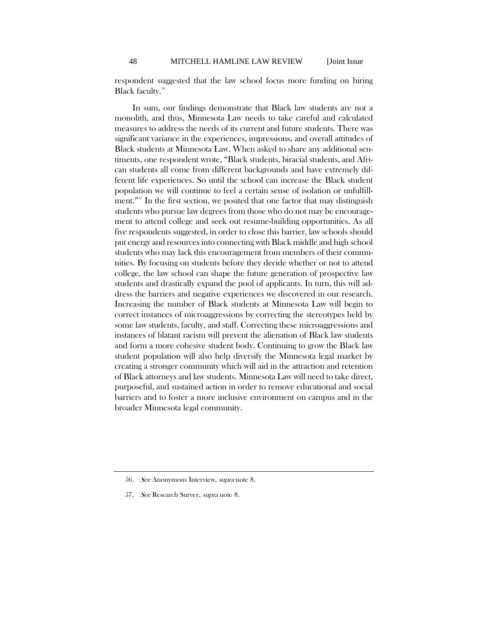respondent suggested that the law school focus more funding on hiring Black faculty.<sup>[56](#page-24-0)</sup>

In sum, our findings demonstrate that Black law students are not a monolith, and thus, Minnesota Law needs to take careful and calculated measures to address the needs of its current and future students. There was significant variance in the experiences, impressions, and overall attitudes of Black students at Minnesota Law. When asked to share any additional sentiments, one respondent wrote, "Black students, biracial students, and African students all come from different backgrounds and have extremely different life experiences. So until the school can increase the Black student population we will continue to feel a certain sense of isolation or unfulfill-ment."<sup>[57](#page-24-1)</sup> In the first section, we posited that one factor that may distinguish students who pursue law degrees from those who do not may be encouragement to attend college and seek out resume-building opportunities. As all five respondents suggested, in order to close this barrier, law schools should put energy and resources into connecting with Black middle and high school students who may lack this encouragement from members of their communities. By focusing on students before they decide whether or not to attend college, the law school can shape the future generation of prospective law students and drastically expand the pool of applicants. In turn, this will address the barriers and negative experiences we discovered in our research. Increasing the number of Black students at Minnesota Law will begin to correct instances of microaggressions by correcting the stereotypes held by some law students, faculty, and staff. Correcting these microaggressions and instances of blatant racism will prevent the alienation of Black law students and form a more cohesive student body. Continuing to grow the Black law student population will also help diversify the Minnesota legal market by creating a stronger community which will aid in the attraction and retention of Black attorneys and law students. Minnesota Law will need to take direct, purposeful, and sustained action in order to remove educational and social barriers and to foster a more inclusive environment on campus and in the broader Minnesota legal community.

<span id="page-24-0"></span><sup>56.</sup> See Anonymous Interview, supra note [8.](#page-16-1)

<span id="page-24-1"></span><sup>57.</sup> See Research Survey, supra note 8.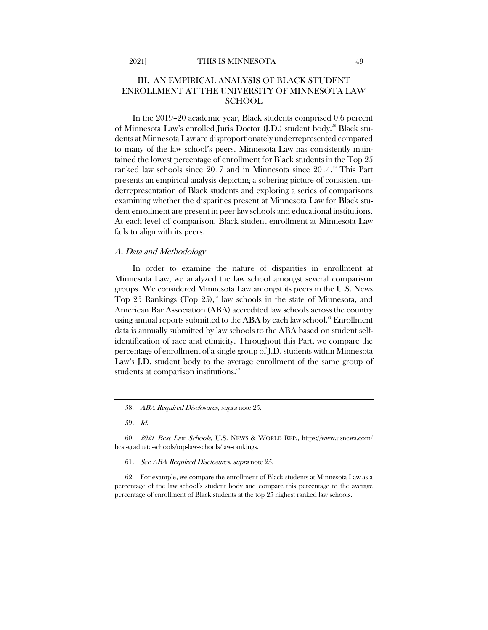## III. AN EMPIRICAL ANALYSIS OF BLACK STUDENT ENROLLMENT AT THE UNIVERSITY OF MINNESOTA LAW **SCHOOL**

In the 2019–20 academic year, Black students comprised 0.6 percent of Minnesota Law's enrolled Juris Doctor (J.D.) student body.<sup>[58](#page-25-0)</sup> Black students at Minnesota Law are disproportionately underrepresented compared to many of the law school's peers. Minnesota Law has consistently maintained the lowest percentage of enrollment for Black students in the Top 25 ranked law schools since 2017 and in Minnesota since 2014.<sup>[59](#page-25-1)</sup> This Part presents an empirical analysis depicting a sobering picture of consistent underrepresentation of Black students and exploring a series of comparisons examining whether the disparities present at Minnesota Law for Black student enrollment are present in peer law schools and educational institutions. At each level of comparison, Black student enrollment at Minnesota Law fails to align with its peers.

#### A. Data and Methodology

<span id="page-25-5"></span>In order to examine the nature of disparities in enrollment at Minnesota Law, we analyzed the law school amongst several comparison groups. We considered Minnesota Law amongst its peers in the U.S. News Top 25 Rankings (Top 25),<sup> $\circ$ </sup> law schools in the state of Minnesota, and American Bar Association (ABA) accredited law schools across the country using annual reports submitted to the ABA by each law school.<sup>[61](#page-25-3)</sup> Enrollment data is annually submitted by law schools to the ABA based on student selfidentification of race and ethnicity. Throughout this Part, we compare the percentage of enrollment of a single group of J.D. students within Minnesota Law's J.D. student body to the average enrollment of the same group of students at comparison institutions.<sup>[62](#page-25-4)</sup>

61. See ABA Required Disclosures, supra not[e 25.](#page-19-4)

<span id="page-25-4"></span><span id="page-25-3"></span>62. For example, we compare the enrollment of Black students at Minnesota Law as a percentage of the law school's student body and compare this percentage to the average percentage of enrollment of Black students at the top 25 highest ranked law schools.

<sup>58.</sup> ABA Required Disclosures, supra not[e 25.](#page-19-4)

<sup>59</sup>. Id.

<span id="page-25-2"></span><span id="page-25-1"></span><span id="page-25-0"></span><sup>60.</sup> 2021 Best Law Schools, U.S. NEWS & WORLD REP., https://www.usnews.com/ best-graduate-schools/top-law-schools/law-rankings.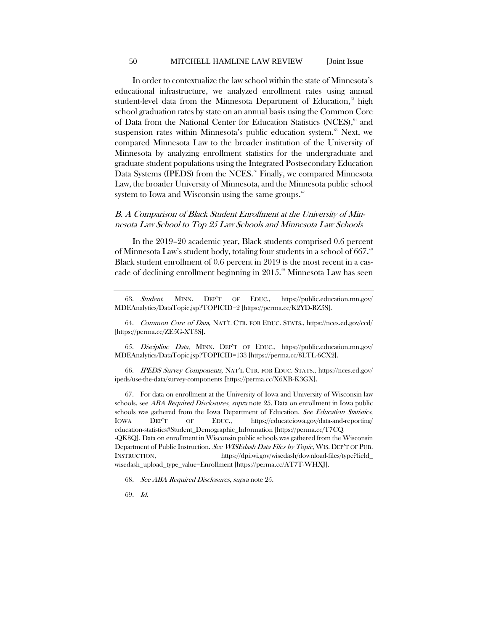#### <span id="page-26-9"></span><span id="page-26-8"></span><span id="page-26-7"></span>50 MITCHELL HAMLINE LAW REVIEW [Joint Issue

In order to contextualize the law school within the state of Minnesota's educational infrastructure, we analyzed enrollment rates using annual student-level data from the Minnesota Department of Education,<sup>[63](#page-26-0)</sup> high school graduation rates by state on an annual basis using the Common Core of Data from the National Center for Education Statistics (NCES),<sup>[64](#page-26-1)</sup> and suspension rates within Minnesota's public education system.<sup>[65](#page-26-2)</sup> Next, we compared Minnesota Law to the broader institution of the University of Minnesota by analyzing enrollment statistics for the undergraduate and graduate student populations using the Integrated Postsecondary Education Data Systems (IPEDS) from the NCES.<sup>[66](#page-26-3)</sup> Finally, we compared Minnesota Law, the broader University of Minnesota, and the Minnesota public school system to Iowa and Wisconsin using the same groups. $\mathfrak{S}$ 

## <span id="page-26-11"></span><span id="page-26-10"></span>B. A Comparison of Black Student Enrollment at the University of Minnesota Law School to Top 25 Law Schools and Minnesota Law Schools

In the 2019–20 academic year, Black students comprised 0.6 percent of Minnesota Law's student body, totaling four students in a school of 667.<sup>88</sup> Black student enrollment of 0.6 percent in 2019 is the most recent in a cascade of declining enrollment beginning in  $2015<sup>°</sup>$  Minnesota Law has seen

<span id="page-26-1"></span>64. Common Core of Data, NAT'L CTR. FOR EDUC. STATS., https://nces.ed.gov/ccd/ [https://perma.cc/ZE5G-XT3S].

<span id="page-26-2"></span>65. Discipline Data, MINN. DEP'T OF EDUC., https://public.education.mn.gov/ MDEAnalytics/DataTopic.jsp?TOPICID=133 [https://perma.cc/8LTL-6CX2].

<span id="page-26-3"></span>66. IPEDS Survey Components, NAT'L CTR. FOR EDUC. STATS., https://nces.ed.gov/ ipeds/use-the-data/survey-components [https://perma.cc/X6XB-K3GX].

<span id="page-26-4"></span>67. For data on enrollment at the University of Iowa and University of Wisconsin law schools, see *ABA Required Disclosures, supra* note [25.](#page-19-4) Data on enrollment in Iowa public schools was gathered from the Iowa Department of Education. See Education Statistics, IOWA DEP'T OF EDUC., https://educateiowa.gov/data-and-reporting/ education-statistics#Student\_Demographic\_Information [https://perma.cc/T7CQ -QK8Q]. Data on enrollment in Wisconsin public schools was gathered from the Wisconsin Department of Public Instruction. See WISEdash Data Files by Topic, WIS. DEP'T OF PUB. INSTRUCTION, https://dpi.wi.gov/wisedash/download-files/type?field\_ wisedash\_upload\_type\_value=Enrollment [https://perma.cc/AT7T-WHXJ].

<span id="page-26-6"></span><span id="page-26-5"></span>68. See ABA Required Disclosures, supra not[e 25.](#page-19-4)

69. Id.

<span id="page-26-0"></span><sup>63.</sup> Student, MINN. DEP'T OF EDUC., https://public.education.mn.gov/ MDEAnalytics/DataTopic.jsp?TOPICID=2 [https://perma.cc/K2YD-RZ5S].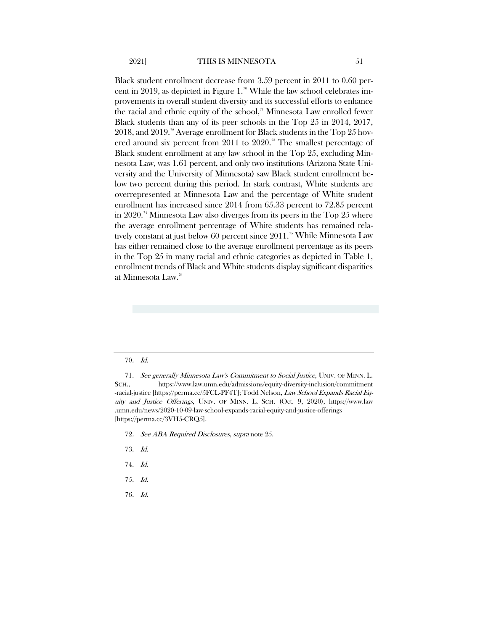<span id="page-27-7"></span>Black student enrollment decrease from 3.59 percent in 2011 to 0.60 per-cent in 2019, as depicted in Figure 1.<sup>[70](#page-27-0)</sup> While the law school celebrates improvements in overall student diversity and its successful efforts to enhance the racial and ethnic equity of the school, $\alpha$ <sup>1</sup> Minnesota Law enrolled fewer Black students than any of its peer schools in the Top 25 in 2014, 2017, 2018, and 2019.<sup>[72](#page-27-2)</sup> Average enrollment for Black students in the Top 25 hovered around six percent from 2011 to 2020. [73](#page-27-3) The smallest percentage of Black student enrollment at any law school in the Top 25, excluding Minnesota Law, was 1.61 percent, and only two institutions (Arizona State University and the University of Minnesota) saw Black student enrollment below two percent during this period. In stark contrast, White students are overrepresented at Minnesota Law and the percentage of White student enrollment has increased since 2014 from 65.33 percent to 72.85 percent in 2020.<sup>[74](#page-27-4)</sup> Minnesota Law also diverges from its peers in the Top  $25$  where the average enrollment percentage of White students has remained rela-tively constant at just below 60 percent since 2011.<sup>[75](#page-27-5)</sup> While Minnesota Law has either remained close to the average enrollment percentage as its peers in the Top 25 in many racial and ethnic categories as depicted in Table 1, enrollment trends of Black and White students display significant disparities at Minnesota Law.[76](#page-27-6)

<span id="page-27-1"></span><span id="page-27-0"></span>71. See generally Minnesota Law's Commitment to Social Justice, UNIV. OF MINN. L. SCH., https://www.law.umn.edu/admissions/equity-diversity-inclusion/commitment -racial-justice [https://perma.cc/5FCL-PF4T]; Todd Nelson, Law School Expands Racial Equity and Justice Offerings, UNIV. OF MINN. L. SCH. (Oct. 9, 2020), https://www.law .umn.edu/news/2020-10-09-law-school-expands-racial-equity-and-justice-offerings [https://perma.cc/3VH5-CRQ5].

- <span id="page-27-3"></span><span id="page-27-2"></span>72. See ABA Required Disclosures, supra not[e 25.](#page-19-4)
- 73. Id.
- <span id="page-27-5"></span><span id="page-27-4"></span>74. Id.
- 75. Id.
- <span id="page-27-6"></span>76. Id.

<sup>70</sup>. Id.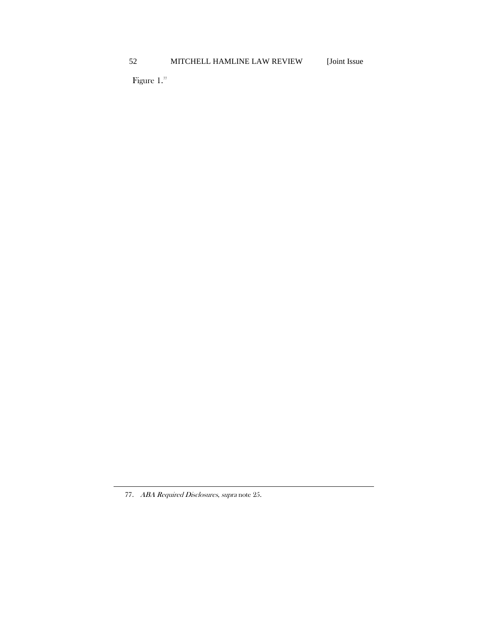Figure 1. $\mathrm{^{77}}$  $\mathrm{^{77}}$  $\mathrm{^{77}}$ 

<span id="page-28-0"></span><sup>77.</sup> ABA Required Disclosures, supra not[e 25.](#page-19-4)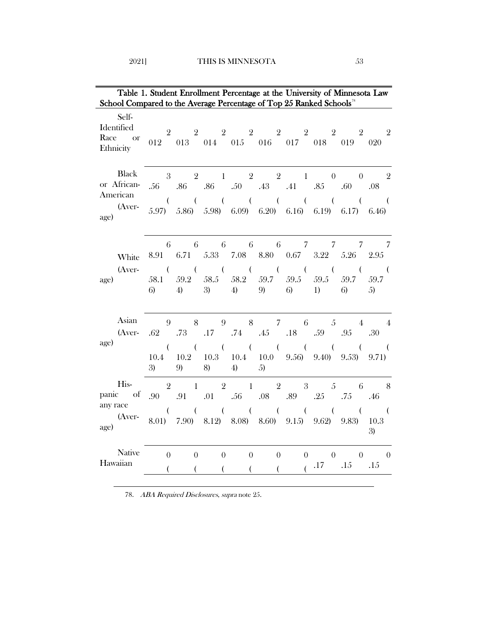| Table 1. Student Enrollment Percentage at the University of Minnesota Law<br>School Compared to the Average Percentage of Top 25 Ranked Schools <sup>78</sup> |                |               |                   |               |          |                |  |                                                                                                  |                      |  |
|---------------------------------------------------------------------------------------------------------------------------------------------------------------|----------------|---------------|-------------------|---------------|----------|----------------|--|--------------------------------------------------------------------------------------------------|----------------------|--|
|                                                                                                                                                               |                |               |                   |               |          |                |  |                                                                                                  |                      |  |
| Self-<br>Identified<br>Race or<br>Ethnicity                                                                                                                   |                |               |                   |               |          |                |  | $2$ $2$ $2$ $2$ $2$ $2$ $2$ $2$ $2$ $2$<br>$012$ $013$ $014$ $015$ $016$ $017$ $018$ $019$ $020$ |                      |  |
| Black<br>or African-<br>American                                                                                                                              |                |               |                   |               |          |                |  | $3 \t 2 \t 1 \t 2 \t 2 \t 1 \t 0 \t 0 \t 2$<br>.56 .86 .86 .50 .43 .41 .85 .60 .08               |                      |  |
| (Aver-<br>age)                                                                                                                                                |                |               |                   |               |          |                |  | 5.97) 5.86) 5.98) 6.09) 6.20) 6.16) 6.19) 6.17) 6.46)                                            |                      |  |
| White<br>(Aver-<br>age)                                                                                                                                       |                |               |                   |               |          |                |  | 6 6 6 6 6 7 7 7 7<br>8.91 6.71 5.33 7.08 8.80 0.67 3.22 5.26 2.95                                |                      |  |
|                                                                                                                                                               | 6)             |               | 4) 3) 4) 9) 6) 1) |               |          |                |  | 58.1 59.2 58.5 58.2 59.7 59.5 59.5 59.7 59.7<br>6) 5)                                            |                      |  |
| Asian<br>(Aver-<br>age)                                                                                                                                       | 9<br>.62       | .73           | .17               |               |          |                |  | 8 9 8 7 6 5 4 4<br>.74 .45 .18 .59 .95 .30                                                       |                      |  |
|                                                                                                                                                               | $\left($<br>3) | 9)            | 8)                | 4)            | 5)       |                |  | 10.4 10.2 10.3 10.4 10.0 9.56) 9.40) 9.53) 9.71)                                                 |                      |  |
| His-<br>panic of<br>any race                                                                                                                                  | .90            | 2 1<br>.91    |                   |               |          |                |  | $2 \quad 1 \quad 2 \quad 3 \quad 5 \quad 6 \quad 8$<br>.01 .56 .08 .89 .25 .75 .46               |                      |  |
| (Aver-<br>age)                                                                                                                                                | $\sqrt{2}$     |               |                   |               |          |                |  | 8.01) 7.90) 8.12) 8.08) 8.60) 9.15) 9.62) 9.83) 10.3                                             | $\overline{a}$<br>3) |  |
| Native<br>Hawaiian                                                                                                                                            | $\theta$<br>(  | $\theta$<br>( | $\overline{0}$    | $\sim 0$<br>( | $\left($ | $\overline{0}$ |  | $\begin{array}{ccccccccc}\n0 & 0 & 0 & 0\n\end{array}$<br>$\frac{17}{15}$ .15 .15                |                      |  |

<span id="page-29-0"></span>78. ABA Required Disclosures, supra not[e 25.](#page-19-4)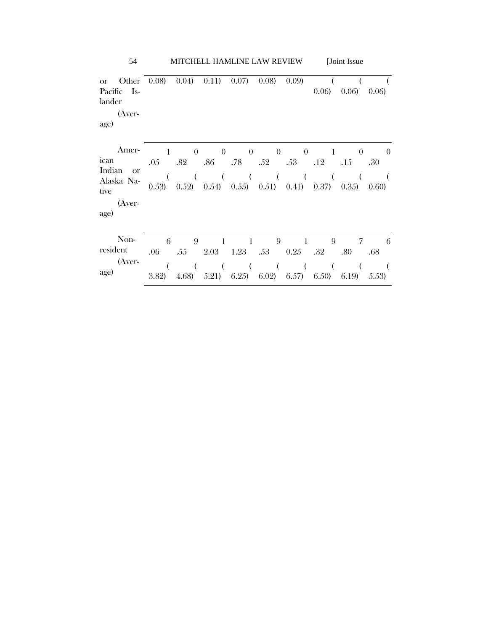| Other<br><b>or</b><br>Pacific Is-<br>lander<br>(Aver-<br>age)                    | 0.08)             | 0.04)                    | 0.11)                    | 0.07)                    | 0.08)                    | 0.09                     | 0.06              | 0.06)                    | 0.06)                    |  |
|----------------------------------------------------------------------------------|-------------------|--------------------------|--------------------------|--------------------------|--------------------------|--------------------------|-------------------|--------------------------|--------------------------|--|
| Amer-<br>ıcan<br>Indian<br><sub>or</sub><br>Alaska Na-<br>tive<br>(Aver-<br>age) | 1<br>.05<br>0.53) | $\Omega$<br>.82<br>0.52) | $\Omega$<br>.86<br>0.54) | $\theta$<br>.78<br>0.55) | $\theta$<br>.52<br>0.51) | $\theta$<br>.53<br>0.41) | .12<br>0.37)      | $\theta$<br>.15<br>0.35) | $\theta$<br>.30<br>0.60) |  |
| Non-<br>resident<br>(Aver-<br>age)                                               | 6<br>.06<br>3.82) | 9<br>.55<br>4.68)        | -1<br>2.03<br>5.21)      | -1<br>1.23<br>6.25)      | 9<br>.53<br>6.02)        | -1<br>0.25<br>6.57)      | 9<br>.32<br>6.50) | 7<br>.80<br>6.19         | 6<br>.68<br>5.53)        |  |

54 MITCHELL HAMLINE LAW REVIEW [Joint Issue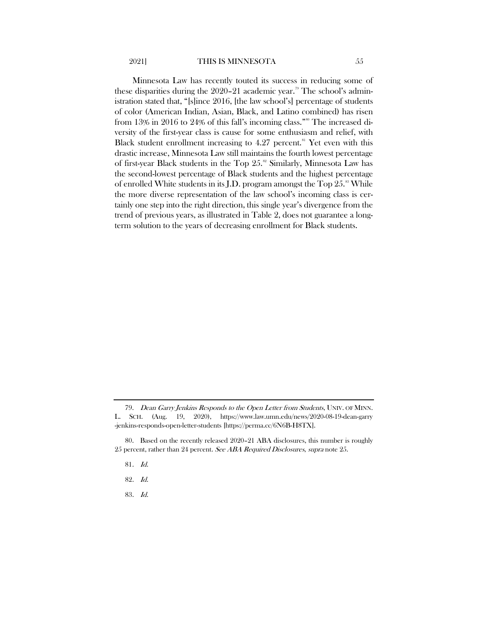#### <span id="page-31-5"></span>2021] THIS IS MINNESOTA 55

Minnesota Law has recently touted its success in reducing some of these disparities during the  $2020-21$  academic year.<sup>[79](#page-31-0)</sup> The school's administration stated that, "[s]ince 2016, [the law school's] percentage of students of color (American Indian, Asian, Black, and Latino combined) has risen from 13% in 2016 to 24% of this fall's incoming class."<sup>[80](#page-31-1)</sup> The increased diversity of the first-year class is cause for some enthusiasm and relief, with Black student enrollment increasing to  $4.27$  percent.<sup>[81](#page-31-2)</sup> Yet even with this drastic increase, Minnesota Law still maintains the fourth lowest percentage of first-year Black students in the Top 25.<sup>[82](#page-31-3)</sup> Similarly, Minnesota Law has the second-lowest percentage of Black students and the highest percentage of enrolled White students in its J.D. program amongst the Top  $25.^{8}$  While the more diverse representation of the law school's incoming class is certainly one step into the right direction, this single year's divergence from the trend of previous years, as illustrated in Table 2, does not guarantee a longterm solution to the years of decreasing enrollment for Black students.

<span id="page-31-4"></span>83. Id.

<span id="page-31-0"></span><sup>79.</sup> Dean Garry Jenkins Responds to the Open Letter from Students, UNIV. OF MINN. L. SCH. (Aug. 19, 2020), https://www.law.umn.edu/news/2020-08-19-dean-garry -jenkins-responds-open-letter-students [https://perma.cc/6N6B-H8TX].

<span id="page-31-3"></span><span id="page-31-2"></span><span id="page-31-1"></span><sup>80.</sup> Based on the recently released 2020–21 ABA disclosures, this number is roughly 25 percent, rather than 24 percent. See ABA Required Disclosures, supra note [25.](#page-19-4)

<sup>81</sup>. Id.

<sup>82</sup>. Id.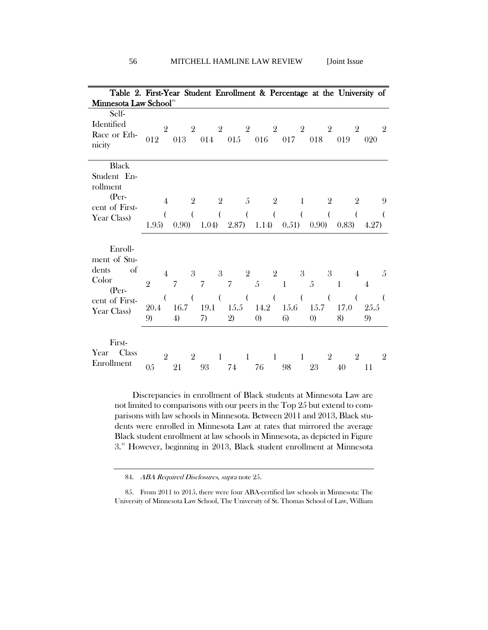| Table 2. First-Year Student Enrollment & Percentage at the University of                    |                              |                                  |                              |                                |         |                            |                                        |                            |                                 |                |                                              |                     |                                             |                |                            |                     |                 |                      |
|---------------------------------------------------------------------------------------------|------------------------------|----------------------------------|------------------------------|--------------------------------|---------|----------------------------|----------------------------------------|----------------------------|---------------------------------|----------------|----------------------------------------------|---------------------|---------------------------------------------|----------------|----------------------------|---------------------|-----------------|----------------------|
| Minnesota Law School <sup>84</sup>                                                          |                              |                                  |                              |                                |         |                            |                                        |                            |                                 |                |                                              |                     |                                             |                |                            |                     |                 |                      |
| Self-<br>Identified<br>Race or Eth-<br>nicity                                               | 012                          | $\overline{2}$                   | 013                          | $\overline{2}$                 |         |                            |                                        |                            |                                 |                | 2 2 2 2<br>014 015 016 017                   |                     | 018                                         | $\overline{2}$ | 019                        | $\overline{2}$      | 020             | $\overline{2}$       |
| <b>Black</b><br>Student En-<br>rollment<br>(Per-<br>cent of First-<br>Year Class)           | 1.95)                        | $\overline{4}$<br>(              | 0.90)                        | $\mathbf{2}$<br>$\overline{ }$ | 1.04)   | $\overline{2}$<br>$\left($ | 2.87)                                  | - 5<br>$\overline{(}$      | 1.14)                           | 2<br>$\left($  | 0.51)                                        | 1<br>(              | 0.90)                                       | 2              | (0.83)                     | 2<br>$\overline{(}$ | 4.27)           | 9<br>$\overline{(}$  |
| Enroll-<br>ment of Stu-<br>of<br>dents<br>Color<br>$(Per-$<br>cent of First-<br>Year Class) | $\overline{2}$<br>20.4<br>9) | $\overline{4}$<br>$\overline{(}$ | $\overline{7}$<br>16.7<br>4) | $\boldsymbol{3}$<br>$\left($   | 7<br>7) | 3 <sup>1</sup><br>$\left($ | $\overline{7}$<br>19.1 15.5 14.2<br>2) | 2 <sup>1</sup><br>$\left($ | $\sqrt{5}$<br>$\left( 0\right)$ | $\overline{ }$ | $\overline{2}$<br>$\mathbf{1}$<br>15.6<br>6) | 3<br>$\overline{(}$ | $\overline{5}$<br>15.7<br>$\left( 0\right)$ | 3<br>$\left($  | $\mathbf{1}$<br>17.0<br>8) | 4<br>$\overline{(}$ | 4<br>25.5<br>9) | .5<br>$\overline{ }$ |
| First-<br>Year Class<br>Enrollment                                                          | 05                           | $\overline{2}$                   | 21                           | $\overline{2}$                 | 93      | $\mathbf{1}$               | $74\,$                                 | 1                          | 76                              | $\mathbf{1}$   | 98                                           | 1                   | 23                                          | 2              | 40                         | $\overline{2}$      | 11              | $\overline{2}$       |

Discrepancies in enrollment of Black students at Minnesota Law are not limited to comparisons with our peers in the Top 25 but extend to comparisons with law schools in Minnesota. Between 2011 and 2013, Black students were enrolled in Minnesota Law at rates that mirrored the average Black student enrollment at law schools in Minnesota, as depicted in Figure 3.<sup>[85](#page-32-1)</sup> However, beginning in 2013, Black student enrollment at Minnesota

84. ABA Required Disclosures, supra not[e 25.](#page-19-4)

<span id="page-32-1"></span><span id="page-32-0"></span>85. From 2011 to 2015, there were four ABA-certified law schools in Minnesota: The University of Minnesota Law School, The University of St. Thomas School of Law, William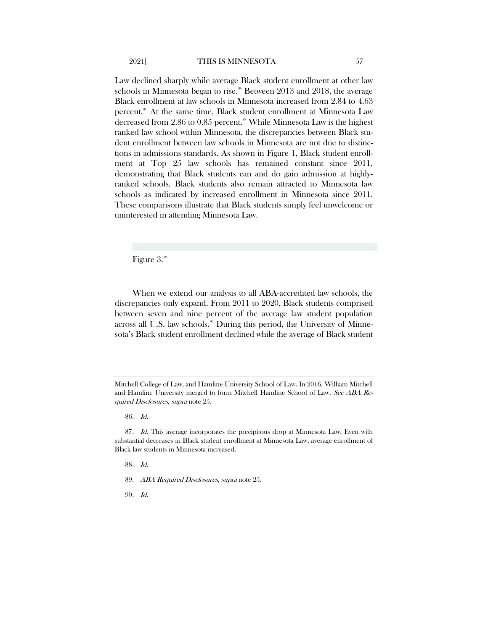Law declined sharply while average Black student enrollment at other law schools in Minnesota began to rise.<sup>[86](#page-33-0)</sup> Between 2013 and 2018, the average Black enrollment at law schools in Minnesota increased from 2.84 to 4.63 percent.<sup>[87](#page-33-1)</sup> At the same time, Black student enrollment at Minnesota Law decreased from 2.86 to 0.85 percent.<sup>[88](#page-33-2)</sup> While Minnesota Law is the highest ranked law school within Minnesota, the discrepancies between Black student enrollment between law schools in Minnesota are not due to distinctions in admissions standards. As shown in Figure 1, Black student enrollment at Top 25 law schools has remained constant since 2011, demonstrating that Black students can and do gain admission at highlyranked schools. Black students also remain attracted to Minnesota law schools as indicated by increased enrollment in Minnesota since 2011. These comparisons illustrate that Black students simply feel unwelcome or uninterested in attending Minnesota Law.

Figure 3.<sup>[89](#page-33-3)</sup>

When we extend our analysis to all ABA-accredited law schools, the discrepancies only expand. From 2011 to 2020, Black students comprised between seven and nine percent of the average law student population across all U.S. law schools.<sup>[90](#page-33-4)</sup> During this period, the University of Minnesota's Black student enrollment declined while the average of Black student

86. Id.

88. Id.

<span id="page-33-4"></span>90. Id.

Mitchell College of Law, and Hamline University School of Law. In 2016, William Mitchell and Hamline University merged to form Mitchell Hamline School of Law. See ABA Required Disclosures, supra not[e 25.](#page-19-4)

<span id="page-33-3"></span><span id="page-33-2"></span><span id="page-33-1"></span><span id="page-33-0"></span><sup>87.</sup> Id. This average incorporates the precipitous drop at Minnesota Law. Even with substantial decreases in Black student enrollment at Minnesota Law, average enrollment of Black law students in Minnesota increased.

<sup>89.</sup> ABA Required Disclosures, supra not[e 25.](#page-19-4)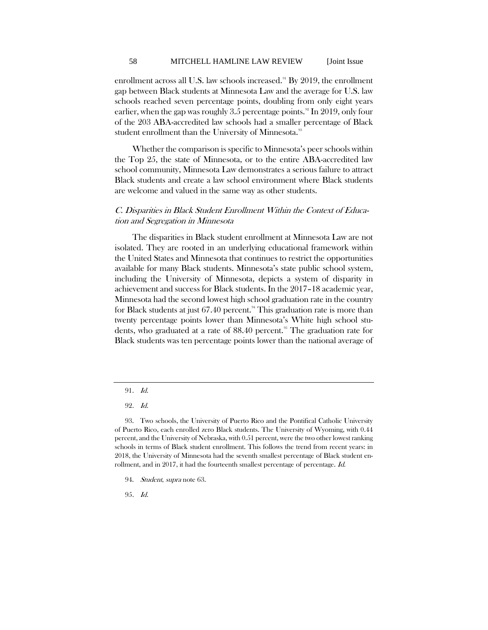enrollment across all U.S. law schools increased.<sup>[91](#page-34-0)</sup> By 2019, the enrollment gap between Black students at Minnesota Law and the average for U.S. law schools reached seven percentage points, doubling from only eight years earlier, when the gap was roughly 3.5 percentage points.<sup>[92](#page-34-1)</sup> In 2019, only four of the 203 ABA-accredited law schools had a smaller percentage of Black student enrollment than the University of Minnesota.<sup>[93](#page-34-2)</sup>

Whether the comparison is specific to Minnesota's peer schools within the Top 25, the state of Minnesota, or to the entire ABA-accredited law school community, Minnesota Law demonstrates a serious failure to attract Black students and create a law school environment where Black students are welcome and valued in the same way as other students.

## C. Disparities in Black Student Enrollment Within the Context of Education and Segregation in Minnesota

The disparities in Black student enrollment at Minnesota Law are not isolated. They are rooted in an underlying educational framework within the United States and Minnesota that continues to restrict the opportunities available for many Black students. Minnesota's state public school system, including the University of Minnesota, depicts a system of disparity in achievement and success for Black students. In the 2017–18 academic year, Minnesota had the second lowest high school graduation rate in the country for Black students at just  $67.40$  percent.<sup>[94](#page-34-3)</sup> This graduation rate is more than twenty percentage points lower than Minnesota's White high school stu-dents, who graduated at a rate of 88.40 percent.<sup>[95](#page-34-4)</sup> The graduation rate for Black students was ten percentage points lower than the national average of

91. Id.

<sup>92</sup>. Id.

<span id="page-34-2"></span><span id="page-34-1"></span><span id="page-34-0"></span><sup>93.</sup> Two schools, the University of Puerto Rico and the Pontifical Catholic University of Puerto Rico, each enrolled zero Black students. The University of Wyoming, with 0.44 percent, and the University of Nebraska, with 0.51 percent, were the two other lowest ranking schools in terms of Black student enrollment. This follows the trend from recent years: in 2018, the University of Minnesota had the seventh smallest percentage of Black student enrollment, and in 2017, it had the fourteenth smallest percentage of percentage. Id.

<span id="page-34-4"></span><span id="page-34-3"></span><sup>94.</sup> Student, supra not[e 63.](#page-26-7)

<sup>95</sup>. Id.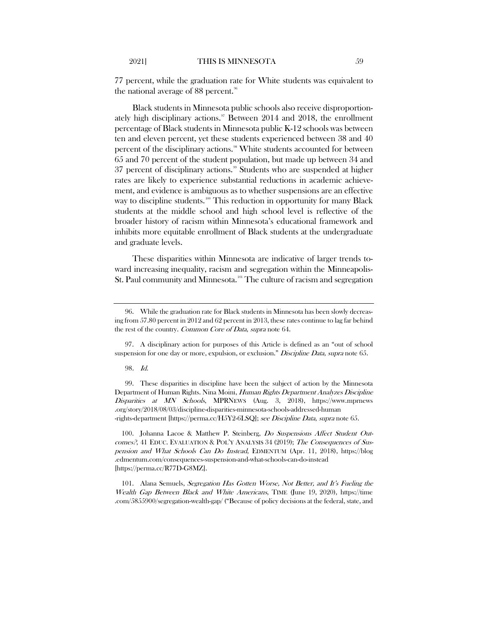77 percent, while the graduation rate for White students was equivalent to the national average of 88 percent. $96$ 

Black students in Minnesota public schools also receive disproportion-ately high disciplinary actions.<sup>[97](#page-35-1)</sup> Between 2014 and 2018, the enrollment percentage of Black students in Minnesota public K-12 schools was between ten and eleven percent, yet these students experienced between 38 and 40 percent of the disciplinary actions.<sup>[98](#page-35-2)</sup> White students accounted for between 65 and 70 percent of the student population, but made up between 34 and 37 percent of disciplinary actions.<sup>[99](#page-35-3)</sup> Students who are suspended at higher rates are likely to experience substantial reductions in academic achievement, and evidence is ambiguous as to whether suspensions are an effective way to discipline students.<sup>[100](#page-35-4)</sup> This reduction in opportunity for many Black students at the middle school and high school level is reflective of the broader history of racism within Minnesota's educational framework and inhibits more equitable enrollment of Black students at the undergraduate and graduate levels.

These disparities within Minnesota are indicative of larger trends toward increasing inequality, racism and segregation within the Minneapolis-St. Paul community and Minnesota.<sup>[101](#page-35-5)</sup> The culture of racism and segregation

98. Id.

<span id="page-35-3"></span><span id="page-35-2"></span>99. These disparities in discipline have been the subject of action by the Minnesota Department of Human Rights. Nina Moini, Human Rights Department Analyzes Discipline Disparities at MN Schools, MPRNEWS (Aug. 3, 2018), https://www.mprnews .org/story/2018/08/03/discipline-disparities-minnesota-schools-addressed-human -rights-department [https://perma.cc/H5Y2-6LSQ]; see Discipline Data, supra note [65.](#page-26-9)

<span id="page-35-4"></span>100. Johanna Lacoe & Matthew P. Steinberg, Do Suspensions Affect Student Outcomes?, 41 EDUC. EVALUATION & POL'Y ANALYSIS 34 (2019); The Consequences of Suspension and What Schools Can Do Instead, EDMENTUM (Apr. 11, 2018), https://blog .edmentum.com/consequences-suspension-and-what-schools-can-do-instead [https://perma.cc/R77D-G8MZ].

<span id="page-35-5"></span>101. Alana Semuels, Segregation Has Gotten Worse, Not Better, and It's Fueling the Wealth Gap Between Black and White Americans, TIME (June 19, 2020), https://time .com/5855900/segregation-wealth-gap/ ("Because of policy decisions at the federal, state, and

<span id="page-35-0"></span><sup>96.</sup> While the graduation rate for Black students in Minnesota has been slowly decreasing from 57.80 percent in 2012 and 62 percent in 2013, these rates continue to lag far behind the rest of the country. Common Core of Data, supra not[e 64.](#page-26-8)

<span id="page-35-1"></span><sup>97.</sup> A disciplinary action for purposes of this Article is defined as an "out of school suspension for one day or more, expulsion, or exclusion." Discipline Data, supra note [65.](#page-26-9)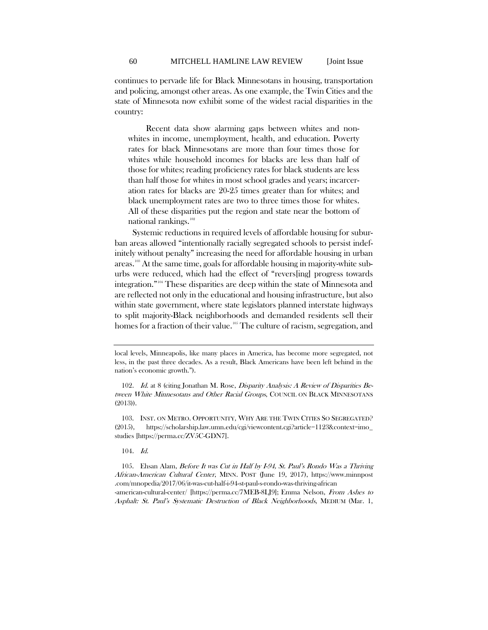continues to pervade life for Black Minnesotans in housing, transportation and policing, amongst other areas. As one example, the Twin Cities and the state of Minnesota now exhibit some of the widest racial disparities in the country:

Recent data show alarming gaps between whites and nonwhites in income, unemployment, health, and education. Poverty rates for black Minnesotans are more than four times those for whites while household incomes for blacks are less than half of those for whites; reading proficiency rates for black students are less than half those for whites in most school grades and years; incarceration rates for blacks are 20-25 times greater than for whites; and black unemployment rates are two to three times those for whites. All of these disparities put the region and state near the bottom of national rankings.<sup>[102](#page-36-0)</sup>

Systemic reductions in required levels of affordable housing for suburban areas allowed "intentionally racially segregated schools to persist indefinitely without penalty" increasing the need for affordable housing in urban areas.<sup>[103](#page-36-1)</sup> At the same time, goals for affordable housing in majority-white suburbs were reduced, which had the effect of "revers[ing] progress towards integration."[104](#page-36-2) These disparities are deep within the state of Minnesota and are reflected not only in the educational and housing infrastructure, but also within state government, where state legislators planned interstate highways to split majority-Black neighborhoods and demanded residents sell their homes for a fraction of their value.<sup>[105](#page-36-3)</sup> The culture of racism, segregation, and

104. Id.

<span id="page-36-3"></span><span id="page-36-2"></span>105. Ehsan Alam, Before It was Cut in Half by I-94, St. Paul's Rondo Was a Thriving African-American Cultural Center, MINN. POST (June 19, 2017), https://www.minnpost .com/mnopedia/2017/06/it-was-cut-half-i-94-st-paul-s-rondo-was-thriving-african

-american-cultural-center/ [https://perma.cc/7MEB-8LJ9]; Emma Nelson, From Ashes to Asphalt: St. Paul's Systematic Destruction of Black Neighborhoods, MEDIUM (Mar. 1,

local levels, Minneapolis, like many places in America, has become more segregated, not less, in the past three decades. As a result, Black Americans have been left behind in the nation's economic growth.").

<span id="page-36-0"></span><sup>102.</sup> Id. at 8 (citing Jonathan M. Rose, *Disparity Analysis: A Review of Disparities Be*tween White Minnesotans and Other Racial Groups, COUNCIL ON BLACK MINNESOTANS (2013)).

<span id="page-36-1"></span><sup>103.</sup> INST. ON METRO. OPPORTUNITY, WHY ARE THE TWIN CITIES SO SEGREGATED? (2015), https://scholarship.law.umn.edu/cgi/viewcontent.cgi?article=1123&context=imo\_ studies [https://perma.cc/ZV5C-GDN7].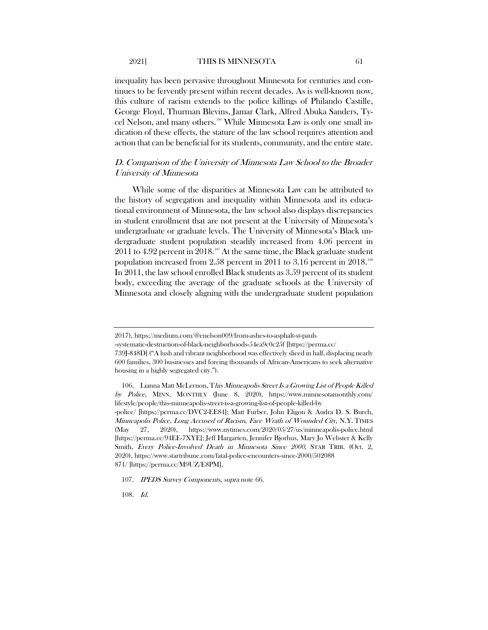inequality has been pervasive throughout Minnesota for centuries and continues to be fervently present within recent decades. As is well-known now, this culture of racism extends to the police killings of Philando Castille, George Floyd, Thurman Blevins, Jamar Clark, Alfred Abuka Sanders, Tycel Nelson, and many others.[106](#page-37-0) While Minnesota Law is only one small indication of these effects, the stature of the law school requires attention and action that can be beneficial for its students, community, and the entire state.

### D. Comparison of the University of Minnesota Law School to the Broader University of Minnesota

While some of the disparities at Minnesota Law can be attributed to the history of segregation and inequality within Minnesota and its educational environment of Minnesota, the law school also displays discrepancies in student enrollment that are not present at the University of Minnesota's undergraduate or graduate levels. The University of Minnesota's Black undergraduate student population steadily increased from 4.06 percent in 2011 to 4.92 percent in 2018.<sup>[107](#page-37-1)</sup> At the same time, the Black graduate student population increased from 2.58 percent in 2011 to 3.16 percent in 2018.  $^{\scriptscriptstyle 108}$  $^{\scriptscriptstyle 108}$  $^{\scriptscriptstyle 108}$ In 2011, the law school enrolled Black students as 3.59 percent of its student body, exceeding the average of the graduate schools at the University of Minnesota and closely aligning with the undergraduate student population

<sup>2017),</sup> https://medium.com/@enelson009/from-ashes-to-asphalt-st-pauls

<sup>-</sup>systematic-destruction-of-black-neighborhoods-54ea9c0c25f [https://perma.cc/

<sup>739</sup>J-848D] ("A lush and vibrant neighborhood was effectively sliced in half, displacing nearly 600 families, 300 businesses and forcing thousands of African-Americans to seek alternative housing in a highly segregated city.").

<span id="page-37-0"></span><sup>106.</sup> Lianna Matt McLernon, This Minneapolis Street Is a Growing List of People Killed by Police, MINN. MONTHLY (June 8, 2020), https://www.minnesotamonthly.com/ lifestyle/people/this-minneapolis-street-is-a-growing-list-of-people-killed-by

<sup>-</sup>police/ [https://perma.cc/DVC2-EE84]; Matt Furber, John Eligon & Audra D. S. Burch, Minneapolis Police, Long Accused of Racism, Face Wrath of Wounded City, N.Y. TIMES (May 27, 2020), https://www.nytimes.com/2020/05/27/us/minneapolis-police.html [https://perma.cc/94EE-7XYE]; Jeff Hargarten, Jennifer Bjorhus, Mary Jo Webster & Kelly Smith, Every Police-Involved Death in Minnesota Since 2000, STAR TRIB. (Oct. 2, 2020), https://www.startribune.com/fatal-police-encounters-since-2000/502088 871/ [https://perma.cc/M9UZ/E8PM].

<span id="page-37-1"></span><sup>107.</sup> IPEDS Survey Components, supra not[e 66.](#page-26-10)

<span id="page-37-2"></span><sup>108</sup>. Id.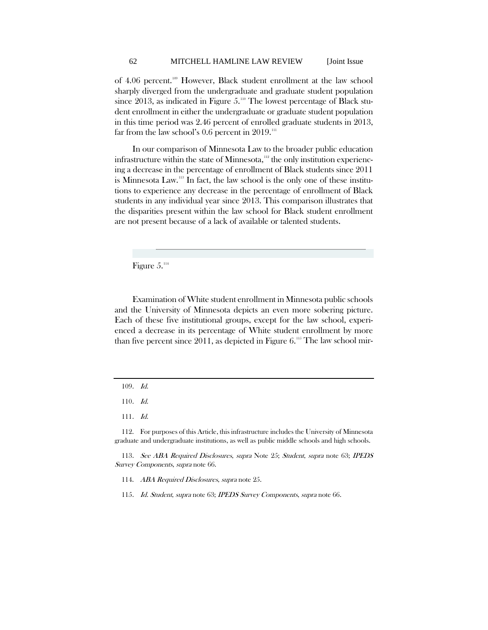of 4.06 percent.[109](#page-38-0) However, Black student enrollment at the law school sharply diverged from the undergraduate and graduate student population since 2013, as indicated in Figure  $5.^{10}$  The lowest percentage of Black student enrollment in either the undergraduate or graduate student population in this time period was 2.46 percent of enrolled graduate students in 2013, far from the law school's  $0.6$  percent in  $2019$ .<sup>[111](#page-38-2)</sup>

In our comparison of Minnesota Law to the broader public education infrastructure within the state of Minnesota, $112$  the only institution experiencing a decrease in the percentage of enrollment of Black students since 2011 is Minnesota Law.[113](#page-38-4) In fact, the law school is the only one of these institutions to experience any decrease in the percentage of enrollment of Black students in any individual year since 2013. This comparison illustrates that the disparities present within the law school for Black student enrollment are not present because of a lack of available or talented students.

Figure  $5.^{114}$  $5.^{114}$  $5.^{114}$ 

Examination of White student enrollment in Minnesota public schools and the University of Minnesota depicts an even more sobering picture. Each of these five institutional groups, except for the law school, experienced a decrease in its percentage of White student enrollment by more than five percent since  $2011$ , as depicted in Figure 6.<sup>[115](#page-38-6)</sup> The law school mir-

110. Id.

111. Id.

<span id="page-38-3"></span><span id="page-38-2"></span><span id="page-38-1"></span>112. For purposes of this Article, this infrastructure includes the University of Minnesota graduate and undergraduate institutions, as well as public middle schools and high schools.

<span id="page-38-6"></span><span id="page-38-5"></span><span id="page-38-4"></span>113. See ABA Required Disclosures, supra Note [25;](#page-19-4) Student, supra note [63;](#page-26-7) IPEDS Survey Components, supra not[e 66.](#page-26-10) 

114. ABA Required Disclosures, supra not[e 25.](#page-19-4)

115. Id. Student, supra note [63;](#page-26-7) IPEDS Survey Components, supra note 66.

<span id="page-38-0"></span><sup>109</sup>. Id.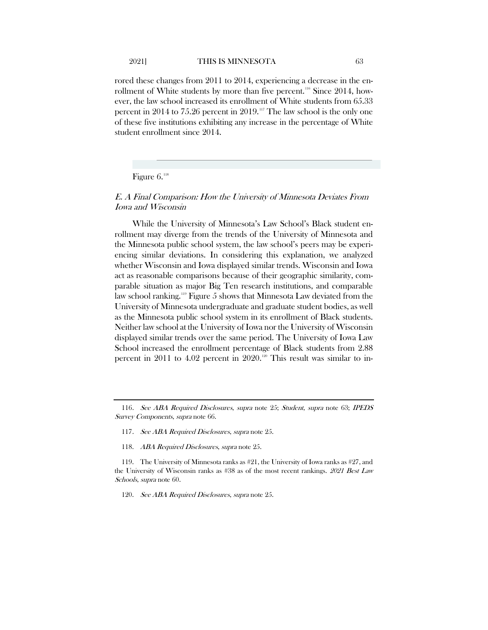rored these changes from 2011 to 2014, experiencing a decrease in the en-rollment of White students by more than five percent.<sup>[116](#page-39-0)</sup> Since 2014, however, the law school increased its enrollment of White students from 65.33 percent in 2014 to 75.26 percent in 2019.<sup>[117](#page-39-1)</sup> The law school is the only one of these five institutions exhibiting any increase in the percentage of White student enrollment since 2014.

Figure 6.<sup>[118](#page-39-2)</sup>

#### E. A Final Comparison: How the University of Minnesota Deviates From Iowa and Wisconsin

While the University of Minnesota's Law School's Black student enrollment may diverge from the trends of the University of Minnesota and the Minnesota public school system, the law school's peers may be experiencing similar deviations. In considering this explanation, we analyzed whether Wisconsin and Iowa displayed similar trends. Wisconsin and Iowa act as reasonable comparisons because of their geographic similarity, comparable situation as major Big Ten research institutions, and comparable law school ranking.[119](#page-39-3) Figure 5 shows that Minnesota Law deviated from the University of Minnesota undergraduate and graduate student bodies, as well as the Minnesota public school system in its enrollment of Black students. Neither law school at the University of Iowa nor the University of Wisconsin displayed similar trends over the same period. The University of Iowa Law School increased the enrollment percentage of Black students from 2.88 percent in 2011 to 4.02 percent in 2020.<sup>[120](#page-39-4)</sup> This result was similar to in-

- 117. See ABA Required Disclosures, supra not[e 25.](#page-19-4)
- 118. ABA Required Disclosures, supra not[e 25.](#page-19-4)

<span id="page-39-1"></span><span id="page-39-0"></span><sup>116.</sup> See ABA Required Disclosures, supra note [25;](#page-19-4) Student, supra note [63;](#page-26-7) IPEDS Survey Components, supra not[e 66.](#page-26-10) 

<span id="page-39-4"></span><span id="page-39-3"></span><span id="page-39-2"></span><sup>119.</sup> The University of Minnesota ranks as #21, the University of Iowa ranks as #27, and the University of Wisconsin ranks as #38 as of the most recent rankings. 2021 Best Law Schools, supra note [60.](#page-25-5)

<sup>120.</sup> See ABA Required Disclosures, supra not[e 25.](#page-19-4)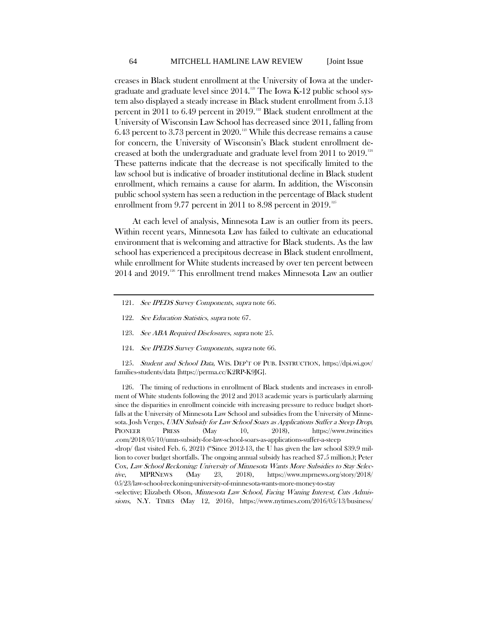creases in Black student enrollment at the University of Iowa at the undergraduate and graduate level since  $2014$ .<sup>[121](#page-40-0)</sup> The Iowa K-12 public school system also displayed a steady increase in Black student enrollment from 5.13 percent in 2011 to 6.49 percent in 2019.<sup>[122](#page-40-1)</sup> Black student enrollment at the University of Wisconsin Law School has decreased since 2011, falling from 6.43 percent to 3.73 percent in 2020.<sup>[123](#page-40-2)</sup> While this decrease remains a cause for concern, the University of Wisconsin's Black student enrollment decreased at both the undergraduate and graduate level from 2011 to 2019.[124](#page-40-3) These patterns indicate that the decrease is not specifically limited to the law school but is indicative of broader institutional decline in Black student enrollment, which remains a cause for alarm. In addition, the Wisconsin public school system has seen a reduction in the percentage of Black student enrollment from 9.77 percent in 2011 to 8.98 percent in 2019.<sup>[125](#page-40-4)</sup>

At each level of analysis, Minnesota Law is an outlier from its peers. Within recent years, Minnesota Law has failed to cultivate an educational environment that is welcoming and attractive for Black students. As the law school has experienced a precipitous decrease in Black student enrollment, while enrollment for White students increased by over ten percent between 2014 and 2019. [126](#page-40-5) This enrollment trend makes Minnesota Law an outlier

- <span id="page-40-0"></span>121. See IPEDS Survey Components, supra not[e 66.](#page-26-10)
- <span id="page-40-1"></span>122. See Education Statistics, supra not[e 67.](#page-26-11)
- 123. See ABA Required Disclosures, supra not[e 25.](#page-19-4)
- 124. See IPEDS Survey Components, supra not[e 66.](#page-26-10)

<span id="page-40-4"></span><span id="page-40-3"></span><span id="page-40-2"></span>125. Student and School Data, WIS. DEP'T OF PUB. INSTRUCTION, https://dpi.wi.gov/ families-students/data [https://perma.cc/K2RP-K9JG].

<span id="page-40-5"></span>126. The timing of reductions in enrollment of Black students and increases in enrollment of White students following the 2012 and 2013 academic years is particularly alarming since the disparities in enrollment coincide with increasing pressure to reduce budget shortfalls at the University of Minnesota Law School and subsidies from the University of Minnesota. Josh Verges, UMN Subsidy for Law School Soars as Applications Suffer a Steep Drop, PIONEER PRESS (May 10, 2018), https://www.twincities .com/2018/05/10/umn-subsidy-for-law-school-soars-as-applications-suffer-a-steep -drop/ (last visited Feb. 6, 2021) ("Since 2012-13, the U has given the law school \$39.9 million to cover budget shortfalls. The ongoing annual subsidy has reached \$7.5 million.); Peter Cox, Law School Reckoning: University of Minnesota Wants More Subsidies to Stay Selective, MPRNEWS (May 23, 2018), https://www.mprnews.org/story/2018/ 05/23/law-school-reckoning-university-of-minnesota-wants-more-money-to-stay -selective; Elizabeth Olson, Minnesota Law School, Facing Waning Interest, Cuts Admissions, N.Y. TIMES (May 12, 2016), https://www.nytimes.com/2016/05/13/business/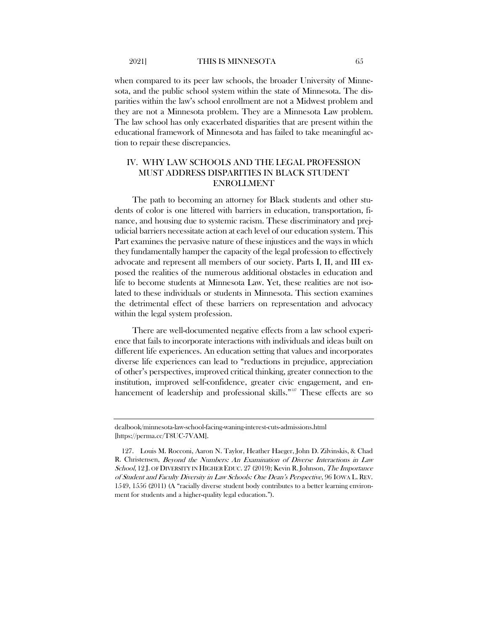when compared to its peer law schools, the broader University of Minnesota, and the public school system within the state of Minnesota. The disparities within the law's school enrollment are not a Midwest problem and they are not a Minnesota problem. They are a Minnesota Law problem. The law school has only exacerbated disparities that are present within the educational framework of Minnesota and has failed to take meaningful action to repair these discrepancies.

## IV. WHY LAW SCHOOLS AND THE LEGAL PROFESSION MUST ADDRESS DISPARITIES IN BLACK STUDENT ENROLLMENT

The path to becoming an attorney for Black students and other students of color is one littered with barriers in education, transportation, finance, and housing due to systemic racism. These discriminatory and prejudicial barriers necessitate action at each level of our education system. This Part examines the pervasive nature of these injustices and the ways in which they fundamentally hamper the capacity of the legal profession to effectively advocate and represent all members of our society. Parts I, II, and III exposed the realities of the numerous additional obstacles in education and life to become students at Minnesota Law. Yet, these realities are not isolated to these individuals or students in Minnesota. This section examines the detrimental effect of these barriers on representation and advocacy within the legal system profession.

There are well-documented negative effects from a law school experience that fails to incorporate interactions with individuals and ideas built on different life experiences. An education setting that values and incorporates diverse life experiences can lead to "reductions in prejudice, appreciation of other's perspectives, improved critical thinking, greater connection to the institution, improved self-confidence, greater civic engagement, and en-hancement of leadership and professional skills."<sup>[127](#page-41-0)</sup> These effects are so

<span id="page-41-1"></span>dealbook/minnesota-law-school-facing-waning-interest-cuts-admissions.html [https://perma.cc/T8UC-7VAM].

<span id="page-41-0"></span><sup>127.</sup> Louis M. Rocconi, Aaron N. Taylor, Heather Haeger, John D. Zilvinskis, & Chad R. Christensen, Beyond the Numbers: An Examination of Diverse Interactions in Law School, 12 J. OF DIVERSITY IN HIGHER EDUC. 27 (2019); Kevin R. Johnson, The Importance of Student and Faculty Diversity in Law Schools: One Dean's Perspective, 96 IOWA L. REV. 1549, 1556 (2011) (A "racially diverse student body contributes to a better learning environment for students and a higher-quality legal education.").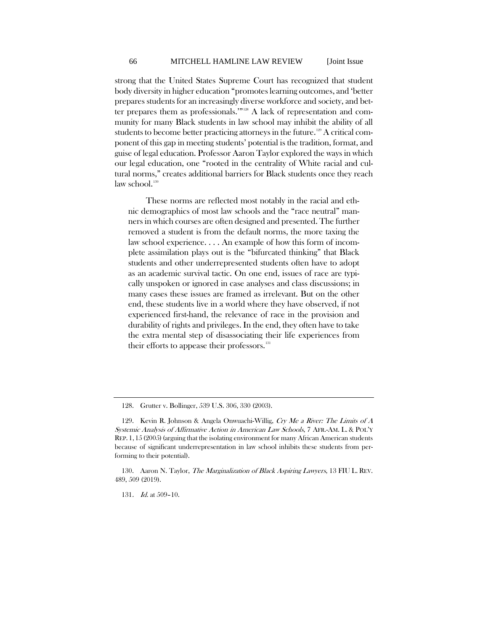strong that the United States Supreme Court has recognized that student body diversity in higher education "promotes learning outcomes, and 'better prepares students for an increasingly diverse workforce and society, and bet-ter prepares them as professionals."<sup>[128](#page-42-0)</sup> A lack of representation and community for many Black students in law school may inhibit the ability of all students to become better practicing attorneys in the future.<sup>[129](#page-42-1)</sup> A critical component of this gap in meeting students' potential is the tradition, format, and guise of legal education. Professor Aaron Taylor explored the ways in which our legal education, one "rooted in the centrality of White racial and cultural norms," creates additional barriers for Black students once they reach law school.<sup>[130](#page-42-2)</sup>

<span id="page-42-4"></span>These norms are reflected most notably in the racial and ethnic demographics of most law schools and the "race neutral" manners in which courses are often designed and presented. The further removed a student is from the default norms, the more taxing the law school experience. . . . An example of how this form of incomplete assimilation plays out is the "bifurcated thinking" that Black students and other underrepresented students often have to adopt as an academic survival tactic. On one end, issues of race are typically unspoken or ignored in case analyses and class discussions; in many cases these issues are framed as irrelevant. But on the other end, these students live in a world where they have observed, if not experienced first-hand, the relevance of race in the provision and durability of rights and privileges. In the end, they often have to take the extra mental step of disassociating their life experiences from their efforts to appease their professors.<sup>[131](#page-42-3)</sup>

131. *Id.* at 509-10.

<sup>128.</sup> Grutter v. Bollinger, 539 U.S. 306, 330 (2003).

<span id="page-42-1"></span><span id="page-42-0"></span><sup>129.</sup> Kevin R. Johnson & Angela Onwuachi-Willig, Cry Me a River: The Limits of A Systemic Analysis of Affirmative Action in American Law Schools, 7 AFR.-AM. L. & POL'Y REP. 1, 15 (2005) (arguing that the isolating environment for many African American students because of significant underrepresentation in law school inhibits these students from performing to their potential).

<span id="page-42-3"></span><span id="page-42-2"></span><sup>130.</sup> Aaron N. Taylor, *The Marginalization of Black Aspiring Lawyers*, 13 FIU L. REV. 489, 509 (2019).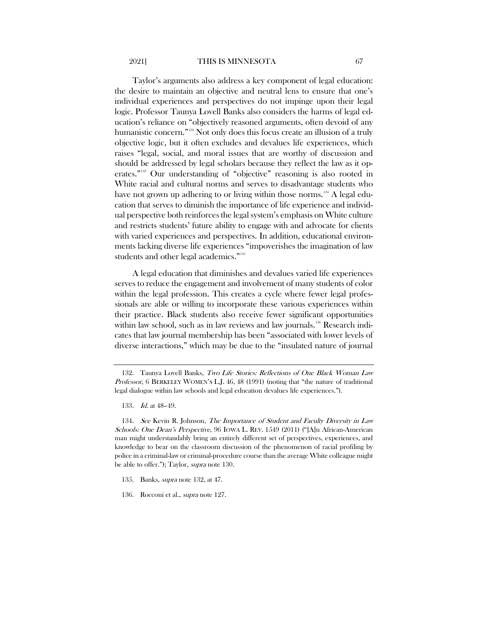#### 2021] THIS IS MINNESOTA 67

<span id="page-43-0"></span>Taylor's arguments also address a key component of legal education: the desire to maintain an objective and neutral lens to ensure that one's individual experiences and perspectives do not impinge upon their legal logic. Professor Taunya Lovell Banks also considers the harms of legal education's reliance on "objectively reasoned arguments, often devoid of any humanistic concern."[132](#page-43-1) Not only does this focus create an illusion of a truly objective logic, but it often excludes and devalues life experiences, which raises "legal, social, and moral issues that are worthy of discussion and should be addressed by legal scholars because they reflect the law as it operates."[133](#page-43-2) Our understanding of "objective" reasoning is also rooted in White racial and cultural norms and serves to disadvantage students who have not grown up adhering to or living within those norms.<sup>[134](#page-43-3)</sup> A legal education that serves to diminish the importance of life experience and individual perspective both reinforces the legal system's emphasis on White culture and restricts students' future ability to engage with and advocate for clients with varied experiences and perspectives. In addition, educational environments lacking diverse life experiences "impoverishes the imagination of law students and other legal academics."[135](#page-43-4)

<span id="page-43-6"></span>A legal education that diminishes and devalues varied life experiences serves to reduce the engagement and involvement of many students of color within the legal profession. This creates a cycle where fewer legal professionals are able or willing to incorporate these various experiences within their practice. Black students also receive fewer significant opportunities within law school, such as in law reviews and law journals.<sup>[136](#page-43-5)</sup> Research indicates that law journal membership has been "associated with lower levels of diverse interactions," which may be due to the "insulated nature of journal

<span id="page-43-1"></span><sup>132.</sup> Taunya Lovell Banks, Two Life Stories: Reflections of One Black Woman Law Professor, 6 BERKELEY WOMEN'S L.J. 46, 48 (1991) (noting that "the nature of traditional legal dialogue within law schools and legal education devalues life experiences.").

<sup>133.</sup> *Id.* at 48-49.

<span id="page-43-3"></span><span id="page-43-2"></span><sup>134.</sup> See Kevin R. Johnson, The Importance of Student and Faculty Diversity in Law Schools: One Dean's Perspective, 96 IOWA L. REV. 1549 (2011) ("[A]n African-American man might understandably bring an entirely different set of perspectives, experiences, and knowledge to bear on the classroom discussion of the phenomenon of racial profiling by police in a criminal-law or criminal-procedure course than the average White colleague might be able to offer."); Taylor, supra not[e 130.](#page-42-4)

<span id="page-43-4"></span><sup>135.</sup> Banks, *supra* not[e 132,](#page-43-0) at 47.

<span id="page-43-5"></span><sup>136.</sup> Rocconi et al., *supra* not[e 127.](#page-41-1)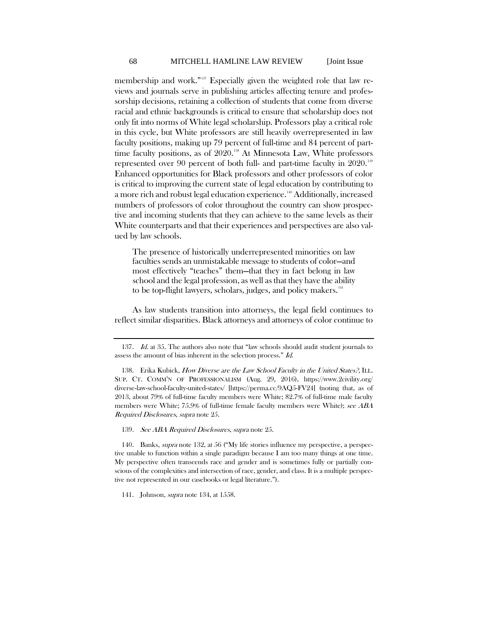membership and work."<sup>[137](#page-44-0)</sup> Especially given the weighted role that law reviews and journals serve in publishing articles affecting tenure and professorship decisions, retaining a collection of students that come from diverse racial and ethnic backgrounds is critical to ensure that scholarship does not only fit into norms of White legal scholarship. Professors play a critical role in this cycle, but White professors are still heavily overrepresented in law faculty positions, making up 79 percent of full-time and 84 percent of part-time faculty positions, as of 2020.<sup>[138](#page-44-1)</sup> At Minnesota Law, White professors represented over 90 percent of both full- and part-time faculty in 2020. [139](#page-44-2) Enhanced opportunities for Black professors and other professors of color is critical to improving the current state of legal education by contributing to a more rich and robust legal education experience.<sup>[140](#page-44-3)</sup> Additionally, increased numbers of professors of color throughout the country can show prospective and incoming students that they can achieve to the same levels as their White counterparts and that their experiences and perspectives are also valued by law schools.

The presence of historically underrepresented minorities on law faculties sends an unmistakable message to students of color—and most effectively "teaches" them—that they in fact belong in law school and the legal profession, as well as that they have the ability to be top-flight lawyers, scholars, judges, and policy makers.<sup>141</sup>

As law students transition into attorneys, the legal field continues to reflect similar disparities. Black attorneys and attorneys of color continue to

139. See ABA Required Disclosures, supra not[e 25.](#page-19-4)

<span id="page-44-3"></span><span id="page-44-2"></span>140. Banks, *supra* not[e 132,](#page-43-0) at 56 ("My life stories influence my perspective, a perspective unable to function within a single paradigm because I am too many things at one time. My perspective often transcends race and gender and is sometimes fully or partially conscious of the complexities and intersection of race, gender, and class. It is a multiple perspective not represented in our casebooks or legal literature.").

<span id="page-44-4"></span>141. Johnson, *supra* not[e 134,](#page-43-6) at 1558.

<span id="page-44-0"></span><sup>137.</sup> Id. at 35. The authors also note that "law schools should audit student journals to assess the amount of bias inherent in the selection process." Id.

<span id="page-44-1"></span><sup>138.</sup> Erika Kubick, How Diverse are the Law School Faculty in the United States?, ILL. SUP. CT. COMM'N OF PROFESSIONALISM (Aug. 29, 2016), https://www.2civility.org/ diverse-law-school-faculty-united-states/ [https://perma.cc/9AQ5-FV24] (noting that, as of 2013, about 79% of full-time faculty members were White; 82.7% of full-time male faculty members were White; 75.9% of full-time female faculty members were White); see ABA Required Disclosures, supra not[e 25.](#page-19-4)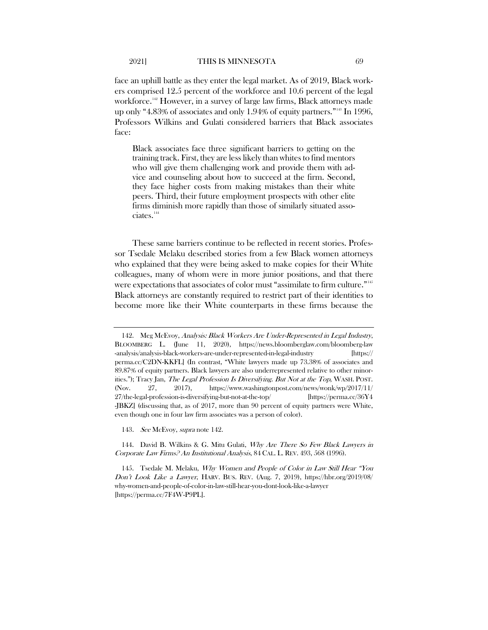<span id="page-45-0"></span>face an uphill battle as they enter the legal market. As of 2019, Black workers comprised 12.5 percent of the workforce and 10.6 percent of the legal workforce.<sup>[142](#page-45-1)</sup> However, in a survey of large law firms, Black attorneys made up only "4.83% of associates and only 1.94% of equity partners."[143](#page-45-2) In 1996, Professors Wilkins and Gulati considered barriers that Black associates face:

Black associates face three significant barriers to getting on the training track. First, they are less likely than whites to find mentors who will give them challenging work and provide them with advice and counseling about how to succeed at the firm. Second, they face higher costs from making mistakes than their white peers. Third, their future employment prospects with other elite firms diminish more rapidly than those of similarly situated asso-ciates.<sup>[144](#page-45-3)</sup>

<span id="page-45-6"></span><span id="page-45-5"></span>These same barriers continue to be reflected in recent stories. Professor Tsedale Melaku described stories from a few Black women attorneys who explained that they were being asked to make copies for their White colleagues, many of whom were in more junior positions, and that there were expectations that associates of color must "assimilate to firm culture."<sup>[145](#page-45-4)</sup> Black attorneys are constantly required to restrict part of their identities to become more like their White counterparts in these firms because the

143. *See* McEvoy, *supra* not[e 142.](#page-45-0)

<span id="page-45-3"></span><span id="page-45-2"></span>144. David B. Wilkins & G. Mitu Gulati, *Why Are There So Few Black Lawyers in* Corporate Law Firms? An Institutional Analysis, 84 CAL. L. REV. 493, 568 (1996).

<span id="page-45-1"></span><sup>142.</sup> Meg McEvoy, Analysis: Black Workers Are Under-Represented in Legal Industry, BLOOMBERG L. (June 11, 2020), https://news.bloomberglaw.com/bloomberg-law -analysis/analysis-black-workers-are-under-represented-in-legal-industry [https:// perma.cc/C2DN-KKFL] (In contrast, "White lawyers made up 73.38% of associates and 89.87% of equity partners. Black lawyers are also underrepresented relative to other minorities."); Tracy Jan, The Legal Profession Is Diversifying. But Not at the Top, WASH. POST. (Nov. 27, 2017), https://www.washingtonpost.com/news/wonk/wp/2017/11/ 27/the-legal-profession-is-diversifying-but-not-at-the-top/ [https://perma.cc/36Y4 -JBKZ] (discussing that, as of 2017, more than 90 percent of equity partners were White, even though one in four law firm associates was a person of color).

<span id="page-45-4"></span><sup>145.</sup> Tsedale M. Melaku, Why Women and People of Color in Law Still Hear "You Don't Look Like a Lawyer, HARV. BUS. REV. (Aug. 7, 2019), https://hbr.org/2019/08/ why-women-and-people-of-color-in-law-still-hear-you-dont-look-like-a-lawyer [https://perma.cc/7F4W-P9PL].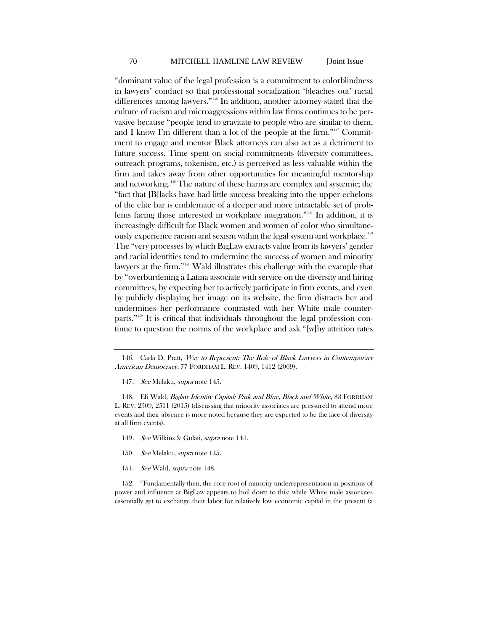<span id="page-46-0"></span>"dominant value of the legal profession is a commitment to colorblindness in lawyers' conduct so that professional socialization 'bleaches out' racial differences among lawyers."<sup>[146](#page-46-1)</sup> In addition, another attorney stated that the culture of racism and microaggressions within law firms continues to be pervasive because "people tend to gravitate to people who are similar to them, and I know I'm different than a lot of the people at the firm."<sup>[147](#page-46-2)</sup> Commitment to engage and mentor Black attorneys can also act as a detriment to future success. Time spent on social commitments (diversity committees, outreach programs, tokenism, etc.) is perceived as less valuable within the firm and takes away from other opportunities for meaningful mentorship and networking.<sup>[148](#page-46-3)</sup> The nature of these harms are complex and systemic; the "fact that [B]lacks have had little success breaking into the upper echelons of the elite bar is emblematic of a deeper and more intractable set of problems facing those interested in workplace integration."[149](#page-46-4) In addition, it is increasingly difficult for Black women and women of color who simultane-ously experience racism and sexism within the legal system and workplace.<sup>[150](#page-46-5)</sup> The "very processes by which BigLaw extracts value from its lawyers' gender and racial identities tend to undermine the success of women and minority lawyers at the firm."[151](#page-46-6) Wald illustrates this challenge with the example that by "overburdening a Latina associate with service on the diversity and hiring committees, by expecting her to actively participate in firm events, and even by publicly displaying her image on its website, the firm distracts her and undermines her performance contrasted with her White male counterparts."[152](#page-46-7) It is critical that individuals throughout the legal profession continue to question the norms of the workplace and ask "[w]hy attrition rates

<span id="page-46-4"></span><span id="page-46-3"></span><span id="page-46-2"></span>148. Eli Wald, Biglaw Identity Capital: Pink and Blue, Black and White, 83 FORDHAM L. REV. 2509, 2511 (2015) (discussing that minority associates are pressured to attend more events and their absence is more noted because they are expected to be the face of diversity at all firm events).

- 149. See Wilkins & Gulati, supra note [144.](#page-45-6)
- 150. See Melaku, supra not[e 145.](#page-45-5)
- 151. See Wald, supra note 148.

<span id="page-46-7"></span><span id="page-46-6"></span><span id="page-46-5"></span>152. "Fundamentally then, the core root of minority underrepresentation in positions of power and influence at BigLaw appears to boil down to this: while White male associates essentially get to exchange their labor for relatively low economic capital in the present (a

<span id="page-46-1"></span><sup>146.</sup> Carla D. Pratt, Way to Represent: The Role of Black Lawyers in Contemporary American Democracy, 77 FORDHAM L. REV. 1409, 1412 (2009).

<sup>147.</sup> See Melaku, supra note 145.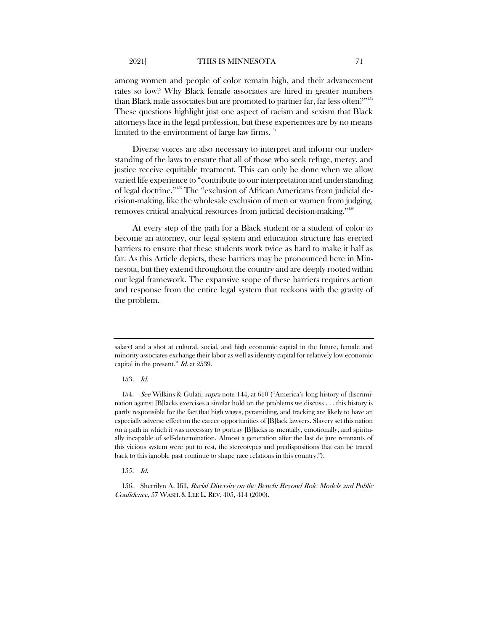among women and people of color remain high, and their advancement rates so low? Why Black female associates are hired in greater numbers than Black male associates but are promoted to partner far, far less often.?"<sup>[153](#page-47-0)</sup> These questions highlight just one aspect of racism and sexism that Black attorneys face in the legal profession, but these experiences are by no means limited to the environment of large law firms.<sup>[154](#page-47-1)</sup>

Diverse voices are also necessary to interpret and inform our understanding of the laws to ensure that all of those who seek refuge, mercy, and justice receive equitable treatment. This can only be done when we allow varied life experience to "contribute to our interpretation and understanding of legal doctrine."[155](#page-47-2) The "exclusion of African Americans from judicial decision-making, like the wholesale exclusion of men or women from judging, removes critical analytical resources from judicial decision-making."[156](#page-47-3)

At every step of the path for a Black student or a student of color to become an attorney, our legal system and education structure has erected barriers to ensure that these students work twice as hard to make it half as far. As this Article depicts, these barriers may be pronounced here in Minnesota, but they extend throughout the country and are deeply rooted within our legal framework. The expansive scope of these barriers requires action and response from the entire legal system that reckons with the gravity of the problem.

salary) and a shot at cultural, social, and high economic capital in the future, female and minority associates exchange their labor as well as identity capital for relatively low economic capital in the present."  $Id$  at 2539.

<sup>153</sup>. Id.

<span id="page-47-1"></span><span id="page-47-0"></span><sup>154</sup>. See Wilkins & Gulati, supra note [144,](#page-45-6) at 610 ("America's long history of discrimination against [B]lacks exercises a similar hold on the problems we discuss . . . this history is partly responsible for the fact that high wages, pyramiding, and tracking are likely to have an especially adverse effect on the career opportunities of [B]lack lawyers. Slavery set this nation on a path in which it was necessary to portray [B]lacks as mentally, emotionally, and spiritually incapable of self-determination. Almost a generation after the last de jure remnants of this vicious system were put to rest, the stereotypes and predispositions that can be traced back to this ignoble past continue to shape race relations in this country.").

<sup>155</sup>. Id.

<span id="page-47-3"></span><span id="page-47-2"></span><sup>156.</sup> Sherrilyn A. Ifill, Racial Diversity on the Bench: Beyond Role Models and Public Confidence, 57 WASH. & LEE L. REV. 405, 414 (2000).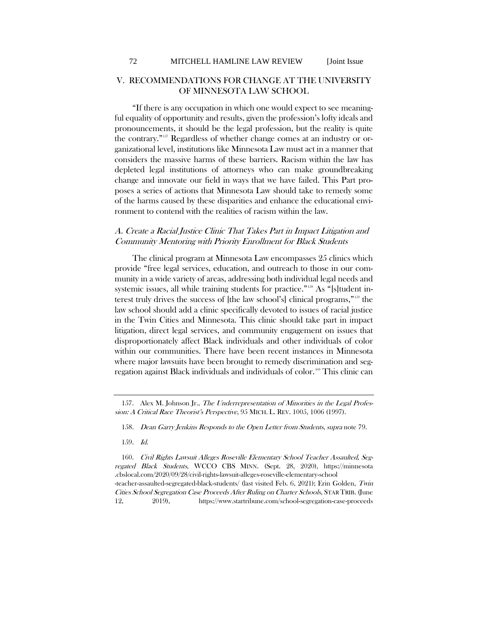## V. RECOMMENDATIONS FOR CHANGE AT THE UNIVERSITY OF MINNESOTA LAW SCHOOL

<span id="page-48-4"></span>"If there is any occupation in which one would expect to see meaningful equality of opportunity and results, given the profession's lofty ideals and pronouncements, it should be the legal profession, but the reality is quite the contrary."[157](#page-48-0) Regardless of whether change comes at an industry or organizational level, institutions like Minnesota Law must act in a manner that considers the massive harms of these barriers. Racism within the law has depleted legal institutions of attorneys who can make groundbreaking change and innovate our field in ways that we have failed. This Part proposes a series of actions that Minnesota Law should take to remedy some of the harms caused by these disparities and enhance the educational environment to contend with the realities of racism within the law.

## A. Create a Racial Justice Clinic That Takes Part in Impact Litigation and Community Mentoring with Priority Enrollment for Black Students

The clinical program at Minnesota Law encompasses 25 clinics which provide "free legal services, education, and outreach to those in our community in a wide variety of areas, addressing both individual legal needs and systemic issues, all while training students for practice."<sup>[158](#page-48-1)</sup> As "[s]tudent interest truly drives the success of [the law school's] clinical programs,"[159](#page-48-2) the law school should add a clinic specifically devoted to issues of racial justice in the Twin Cities and Minnesota. This clinic should take part in impact litigation, direct legal services, and community engagement on issues that disproportionately affect Black individuals and other individuals of color within our communities. There have been recent instances in Minnesota where major lawsuits have been brought to remedy discrimination and seg-regation against Black individuals and individuals of color.<sup>[160](#page-48-3)</sup> This clinic can

<span id="page-48-1"></span><span id="page-48-0"></span><sup>157.</sup> Alex M. Johnson Jr., The Underrepresentation of Minorities in the Legal Profession: A Critical Race Theorist's Perspective, 95 MICH. L. REV. 1005, 1006 (1997).

<sup>158.</sup> Dean Garry Jenkins Responds to the Open Letter from Students, supra not[e 79.](#page-31-5)

<sup>159</sup>. Id.

<span id="page-48-3"></span><span id="page-48-2"></span><sup>160.</sup> Civil Rights Lawsuit Alleges Roseville Elementary School Teacher Assaulted, Segregated Black Students, WCCO CBS MINN. (Sept. 28, 2020), https://minnesota .cbslocal.com/2020/09/28/civil-rights-lawsuit-alleges-roseville-elementary-school -teacher-assaulted-segregated-black-students/ (last visited Feb. 6, 2021); Erin Golden, Twin Cities School Segregation Case Proceeds After Ruling on Charter Schools, STAR TRIB. (June 12, 2019), https://www.startribune.com/school-segregation-case-proceeds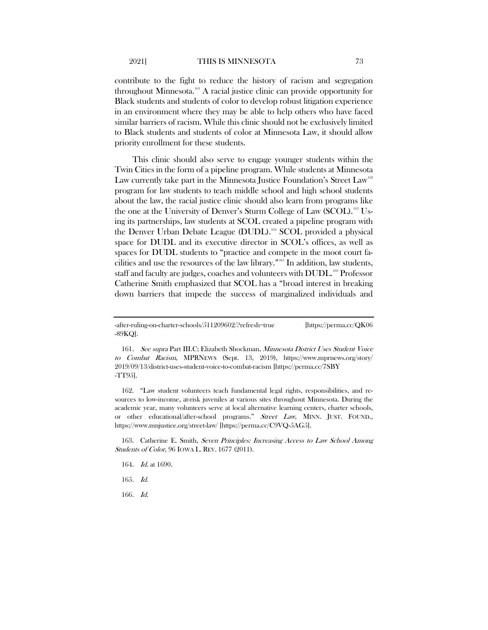contribute to the fight to reduce the history of racism and segregation throughout Minnesota.<sup>161</sup> A racial justice clinic can provide opportunity for Black students and students of color to develop robust litigation experience in an environment where they may be able to help others who have faced similar barriers of racism. While this clinic should not be exclusively limited to Black students and students of color at Minnesota Law, it should allow priority enrollment for these students.

This clinic should also serve to engage younger students within the Twin Cities in the form of a pipeline program. While students at Minnesota Law currently take part in the Minnesota Justice Foundation's Street Law<sup>[162](#page-49-1)</sup> program for law students to teach middle school and high school students about the law, the racial justice clinic should also learn from programs like the one at the University of Denver's Sturm College of Law (SCOL).<sup>[163](#page-49-2)</sup> Using its partnerships, law students at SCOL created a pipeline program with the Denver Urban Debate League (DUDL).<sup>[164](#page-49-3)</sup> SCOL provided a physical space for DUDL and its executive director in SCOL's offices, as well as spaces for DUDL students to "practice and compete in the moot court facilities and use the resources of the law library."[165](#page-49-4) In addition, law students, staff and faculty are judges, coaches and volunteers with DUDL.<sup>[166](#page-49-5)</sup> Professor Catherine Smith emphasized that SCOL has a "broad interest in breaking down barriers that impede the success of marginalized individuals and

<span id="page-49-1"></span>162. "Law student volunteers teach fundamental legal rights, responsibilities, and resources to low-income, at-risk juveniles at various sites throughout Minnesota. During the academic year, many volunteers serve at local alternative learning centers, charter schools, or other educational/after-school programs." Street Law, MINN. JUST. FOUND., https://www.mnjustice.org/street-law/ [https://perma.cc/C9VQ-5AG5].

<span id="page-49-4"></span><span id="page-49-3"></span><span id="page-49-2"></span>163. Catherine E. Smith, Seven Principles: Increasing Access to Law School Among Students of Color, 96 IOWA L. REV. 1677 (2011).

- 164. *Id.* at 1690.
- 165. Id.
- <span id="page-49-5"></span>166. Id.

<sup>-</sup>after-ruling-on-charter-schools/511209602/?refresh=true [https://perma.cc/QK06 -89KQ].

<span id="page-49-0"></span><sup>161</sup>. See supra Part III.C; Elizabeth Shockman, Minnesota District Uses Student Voice to Combat Racism, MPRNEWS (Sept. 13, 2019), https://www.mprnews.org/story/ 2019/09/13/district-uses-student-voice-to-combat-racism [https://perma.cc/7SBY -TT95].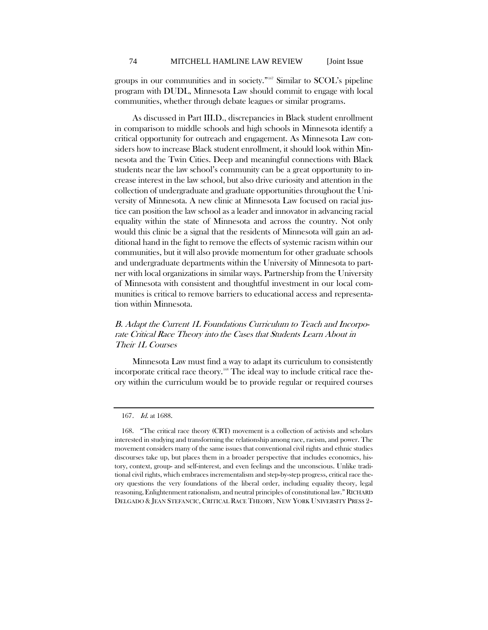groups in our communities and in society."[167](#page-50-0) Similar to SCOL's pipeline program with DUDL, Minnesota Law should commit to engage with local communities, whether through debate leagues or similar programs.

As discussed in Part III.D., discrepancies in Black student enrollment in comparison to middle schools and high schools in Minnesota identify a critical opportunity for outreach and engagement. As Minnesota Law considers how to increase Black student enrollment, it should look within Minnesota and the Twin Cities. Deep and meaningful connections with Black students near the law school's community can be a great opportunity to increase interest in the law school, but also drive curiosity and attention in the collection of undergraduate and graduate opportunities throughout the University of Minnesota. A new clinic at Minnesota Law focused on racial justice can position the law school as a leader and innovator in advancing racial equality within the state of Minnesota and across the country. Not only would this clinic be a signal that the residents of Minnesota will gain an additional hand in the fight to remove the effects of systemic racism within our communities, but it will also provide momentum for other graduate schools and undergraduate departments within the University of Minnesota to partner with local organizations in similar ways. Partnership from the University of Minnesota with consistent and thoughtful investment in our local communities is critical to remove barriers to educational access and representation within Minnesota.

## B. Adapt the Current 1L Foundations Curriculum to Teach and Incorporate Critical Race Theory into the Cases that Students Learn About in Their 1L Courses

Minnesota Law must find a way to adapt its curriculum to consistently incorporate critical race theory.<sup>[168](#page-50-1)</sup> The ideal way to include critical race theory within the curriculum would be to provide regular or required courses

<sup>167.</sup> *Id.* at 1688.

<span id="page-50-1"></span><span id="page-50-0"></span><sup>168.</sup> "The critical race theory (CRT) movement is a collection of activists and scholars interested in studying and transforming the relationship among race, racism, and power. The movement considers many of the same issues that conventional civil rights and ethnic studies discourses take up, but places them in a broader perspective that includes economics, history, context, group- and self-interest, and even feelings and the unconscious. Unlike traditional civil rights, which embraces incrementalism and step-by-step progress, critical race theory questions the very foundations of the liberal order, including equality theory, legal reasoning, Enlightenment rationalism, and neutral principles of constitutional law." RICHARD DELGADO & JEAN STEFANCIC, CRITICAL RACE THEORY, NEW YORK UNIVERSITY PRESS 2–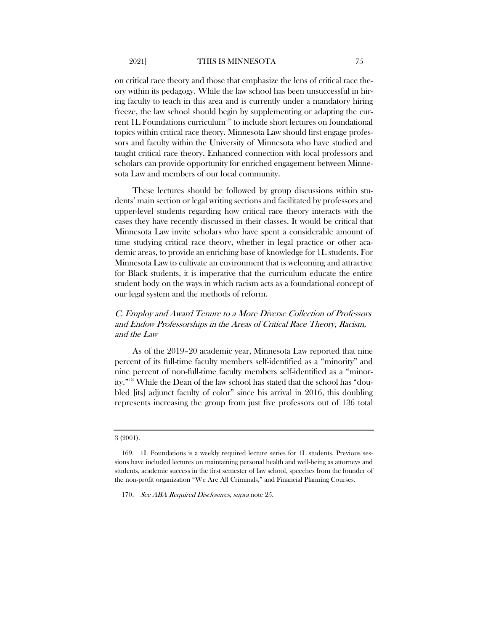on critical race theory and those that emphasize the lens of critical race theory within its pedagogy. While the law school has been unsuccessful in hiring faculty to teach in this area and is currently under a mandatory hiring freeze, the law school should begin by supplementing or adapting the cur-rent 1L Foundations curriculum<sup>[169](#page-51-0)</sup> to include short lectures on foundational topics within critical race theory. Minnesota Law should first engage professors and faculty within the University of Minnesota who have studied and taught critical race theory. Enhanced connection with local professors and scholars can provide opportunity for enriched engagement between Minnesota Law and members of our local community.

These lectures should be followed by group discussions within students' main section or legal writing sections and facilitated by professors and upper-level students regarding how critical race theory interacts with the cases they have recently discussed in their classes. It would be critical that Minnesota Law invite scholars who have spent a considerable amount of time studying critical race theory, whether in legal practice or other academic areas, to provide an enriching base of knowledge for 1L students. For Minnesota Law to cultivate an environment that is welcoming and attractive for Black students, it is imperative that the curriculum educate the entire student body on the ways in which racism acts as a foundational concept of our legal system and the methods of reform.

## C. Employ and Award Tenure to a More Diverse Collection of Professors and Endow Professorships in the Areas of Critical Race Theory, Racism, and the Law

As of the 2019–20 academic year, Minnesota Law reported that nine percent of its full-time faculty members self-identified as a "minority" and nine percent of non-full-time faculty members self-identified as a "minority."[170](#page-51-1) While the Dean of the law school has stated that the school has "doubled [its] adjunct faculty of color" since his arrival in 2016, this doubling represents increasing the group from just five professors out of 136 total

<sup>3 (2001).</sup> 

<span id="page-51-1"></span><span id="page-51-0"></span><sup>169.</sup> 1L Foundations is a weekly required lecture series for 1L students. Previous sessions have included lectures on maintaining personal health and well-being as attorneys and students, academic success in the first semester of law school, speeches from the founder of the non-profit organization "We Are All Criminals," and Financial Planning Courses.

<sup>170.</sup> See ABA Required Disclosures, supra not[e 25.](#page-19-4)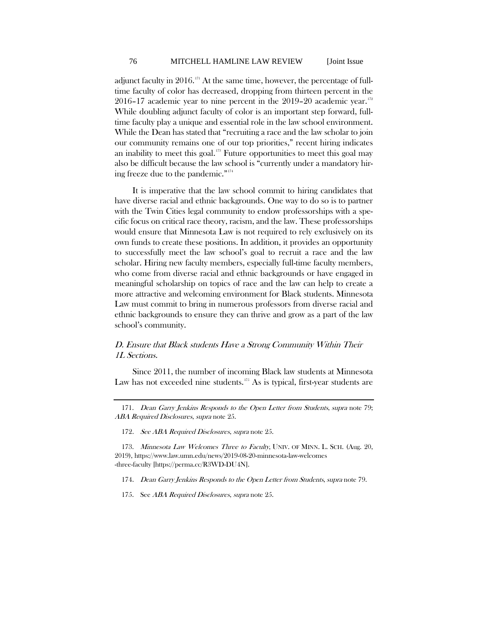adjunct faculty in 2016.<sup>[171](#page-52-0)</sup> At the same time, however, the percentage of fulltime faculty of color has decreased, dropping from thirteen percent in the 2016–17 academic year to nine percent in the  $2019-20$  academic year.<sup>[172](#page-52-1)</sup> While doubling adjunct faculty of color is an important step forward, fulltime faculty play a unique and essential role in the law school environment. While the Dean has stated that "recruiting a race and the law scholar to join our community remains one of our top priorities," recent hiring indicates an inability to meet this goal.<sup>[173](#page-52-2)</sup> Future opportunities to meet this goal may also be difficult because the law school is "currently under a mandatory hiring freeze due to the pandemic."[174](#page-52-3)

It is imperative that the law school commit to hiring candidates that have diverse racial and ethnic backgrounds. One way to do so is to partner with the Twin Cities legal community to endow professorships with a specific focus on critical race theory, racism, and the law. These professorships would ensure that Minnesota Law is not required to rely exclusively on its own funds to create these positions. In addition, it provides an opportunity to successfully meet the law school's goal to recruit a race and the law scholar. Hiring new faculty members, especially full-time faculty members, who come from diverse racial and ethnic backgrounds or have engaged in meaningful scholarship on topics of race and the law can help to create a more attractive and welcoming environment for Black students. Minnesota Law must commit to bring in numerous professors from diverse racial and ethnic backgrounds to ensure they can thrive and grow as a part of the law school's community.

## D. Ensure that Black students Have a Strong Community Within Their 1L Sections.

Since 2011, the number of incoming Black law students at Minnesota Law has not exceeded nine students.<sup>[175](#page-52-4)</sup> As is typical, first-year students are

<span id="page-52-0"></span><sup>171.</sup> Dean Garry Jenkins Responds to the Open Letter from Students, supra note [79;](#page-31-5) ABA Required Disclosures, supra not[e 25.](#page-19-4)

<sup>172.</sup> See ABA Required Disclosures, supra not[e 25.](#page-19-4)

<span id="page-52-3"></span><span id="page-52-2"></span><span id="page-52-1"></span><sup>173.</sup> Minnesota Law Welcomes Three to Faculty, UNIV. OF MINN. L. SCH. (Aug. 20, 2019), https://www.law.umn.edu/news/2019-08-20-minnesota-law-welcomes -three-faculty [https://perma.cc/R3WD-DU4N].

<sup>174.</sup> Dean Garry Jenkins Responds to the Open Letter from Students, supra not[e 79.](#page-31-5)

<span id="page-52-4"></span><sup>175.</sup> See ABA Required Disclosures, supra not[e 25.](#page-19-4)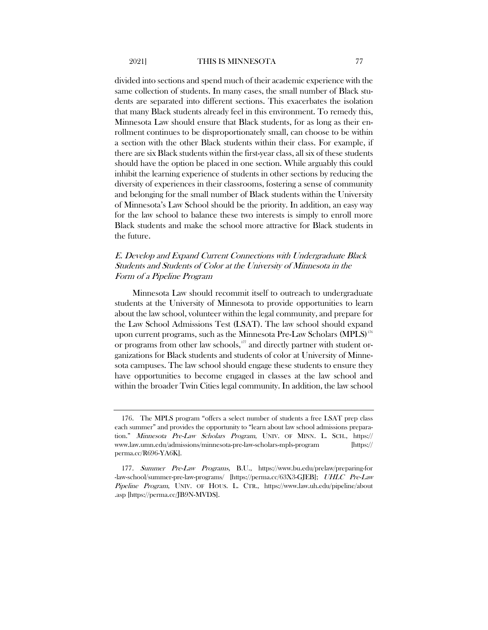divided into sections and spend much of their academic experience with the same collection of students. In many cases, the small number of Black students are separated into different sections. This exacerbates the isolation that many Black students already feel in this environment. To remedy this, Minnesota Law should ensure that Black students, for as long as their enrollment continues to be disproportionately small, can choose to be within a section with the other Black students within their class. For example, if there are six Black students within the first-year class, all six of these students should have the option be placed in one section. While arguably this could inhibit the learning experience of students in other sections by reducing the diversity of experiences in their classrooms, fostering a sense of community and belonging for the small number of Black students within the University of Minnesota's Law School should be the priority. In addition, an easy way for the law school to balance these two interests is simply to enroll more Black students and make the school more attractive for Black students in the future.

## E. Develop and Expand Current Connections with Undergraduate Black Students and Students of Color at the University of Minnesota in the Form of a Pipeline Program

Minnesota Law should recommit itself to outreach to undergraduate students at the University of Minnesota to provide opportunities to learn about the law school, volunteer within the legal community, and prepare for the Law School Admissions Test (LSAT). The law school should expand upon current programs, such as the Minnesota Pre-Law Scholars (MPLS)<sup>[176](#page-53-0)</sup> or programs from other law schools,<sup>[177](#page-53-1)</sup> and directly partner with student organizations for Black students and students of color at University of Minnesota campuses. The law school should engage these students to ensure they have opportunities to become engaged in classes at the law school and within the broader Twin Cities legal community. In addition, the law school

<span id="page-53-0"></span><sup>176.</sup> The MPLS program "offers a select number of students a free LSAT prep class each summer" and provides the opportunity to "learn about law school admissions preparation." Minnesota Pre-Law Scholars Program, UNIV. OF MINN. L. SCH., https:// www.law.umn.edu/admissions/minnesota-pre-law-scholars-mpls-program [https:// perma.cc/R696-YA6K].

<span id="page-53-1"></span><sup>177.</sup> Summer Pre-Law Programs, B.U., https://www.bu.edu/prelaw/preparing-for -law-school/summer-pre-law-programs/ [https://perma.cc/63X3-GJEB]; UHLC Pre-Law Pipeline Program, UNIV. OF HOUS. L. CTR., https://www.law.uh.edu/pipeline/about .asp [https://perma.cc/JB9N-MVDS].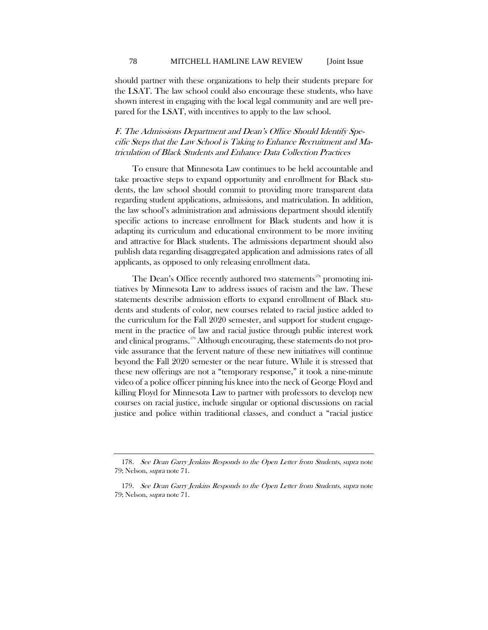should partner with these organizations to help their students prepare for the LSAT. The law school could also encourage these students, who have shown interest in engaging with the local legal community and are well prepared for the LSAT, with incentives to apply to the law school.

## F. The Admissions Department and Dean's Office Should Identify Specific Steps that the Law School is Taking to Enhance Recruitment and Matriculation of Black Students and Enhance Data Collection Practices

To ensure that Minnesota Law continues to be held accountable and take proactive steps to expand opportunity and enrollment for Black students, the law school should commit to providing more transparent data regarding student applications, admissions, and matriculation. In addition, the law school's administration and admissions department should identify specific actions to increase enrollment for Black students and how it is adapting its curriculum and educational environment to be more inviting and attractive for Black students. The admissions department should also publish data regarding disaggregated application and admissions rates of all applicants, as opposed to only releasing enrollment data.

The Dean's Office recently authored two statements<sup>[178](#page-54-0)</sup> promoting initiatives by Minnesota Law to address issues of racism and the law. These statements describe admission efforts to expand enrollment of Black students and students of color, new courses related to racial justice added to the curriculum for the Fall 2020 semester, and support for student engagement in the practice of law and racial justice through public interest work and clinical programs.<sup>[179](#page-54-1)</sup> Although encouraging, these statements do not provide assurance that the fervent nature of these new initiatives will continue beyond the Fall 2020 semester or the near future. While it is stressed that these new offerings are not a "temporary response," it took a nine-minute video of a police officer pinning his knee into the neck of George Floyd and killing Floyd for Minnesota Law to partner with professors to develop new courses on racial justice, include singular or optional discussions on racial justice and police within traditional classes, and conduct a "racial justice

<span id="page-54-0"></span><sup>178.</sup> See Dean Garry Jenkins Responds to the Open Letter from Students, supra note [79;](#page-31-5) Nelson, supra note [71.](#page-27-7)

<span id="page-54-1"></span><sup>179.</sup> See Dean Garry Jenkins Responds to the Open Letter from Students, supra note [79;](#page-31-5) Nelson, supra note [71.](#page-27-7)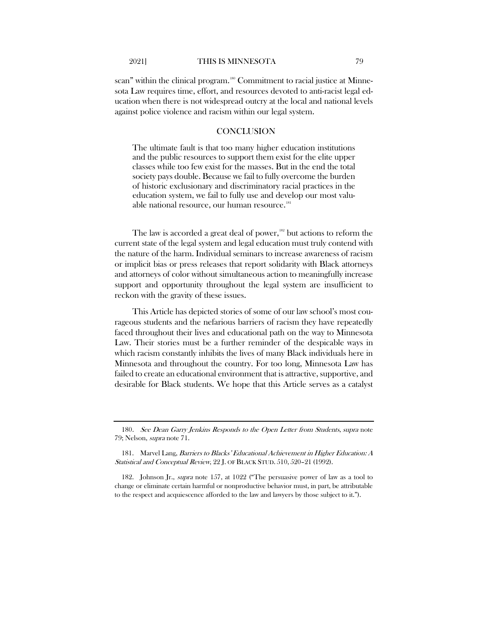scan" within the clinical program.<sup>[180](#page-55-0)</sup> Commitment to racial justice at Minnesota Law requires time, effort, and resources devoted to anti-racist legal education when there is not widespread outcry at the local and national levels against police violence and racism within our legal system.

## **CONCLUSION**

The ultimate fault is that too many higher education institutions and the public resources to support them exist for the elite upper classes while too few exist for the masses. But in the end the total society pays double. Because we fail to fully overcome the burden of historic exclusionary and discriminatory racial practices in the education system, we fail to fully use and develop our most valu-able national resource, our human resource.<sup>[181](#page-55-1)</sup>

The law is accorded a great deal of power, $182$  but actions to reform the current state of the legal system and legal education must truly contend with the nature of the harm. Individual seminars to increase awareness of racism or implicit bias or press releases that report solidarity with Black attorneys and attorneys of color without simultaneous action to meaningfully increase support and opportunity throughout the legal system are insufficient to reckon with the gravity of these issues.

This Article has depicted stories of some of our law school's most courageous students and the nefarious barriers of racism they have repeatedly faced throughout their lives and educational path on the way to Minnesota Law. Their stories must be a further reminder of the despicable ways in which racism constantly inhibits the lives of many Black individuals here in Minnesota and throughout the country. For too long, Minnesota Law has failed to create an educational environment that is attractive, supportive, and desirable for Black students. We hope that this Article serves as a catalyst

<span id="page-55-0"></span><sup>180.</sup> See Dean Garry Jenkins Responds to the Open Letter from Students, supra note [79;](#page-31-5) Nelson, supra note [71.](#page-27-7)

<span id="page-55-1"></span><sup>181.</sup> Marvel Lang, Barriers to Blacks' Educational Achievement in Higher Education: A Statistical and Conceptual Review, 22 J. OF BLACK STUD. 510, 520-21 (1992).

<span id="page-55-2"></span><sup>182.</sup> Johnson Jr., supra note [157,](#page-48-4) at 1022 ("The persuasive power of law as a tool to change or eliminate certain harmful or nonproductive behavior must, in part, be attributable to the respect and acquiescence afforded to the law and lawyers by those subject to it.").